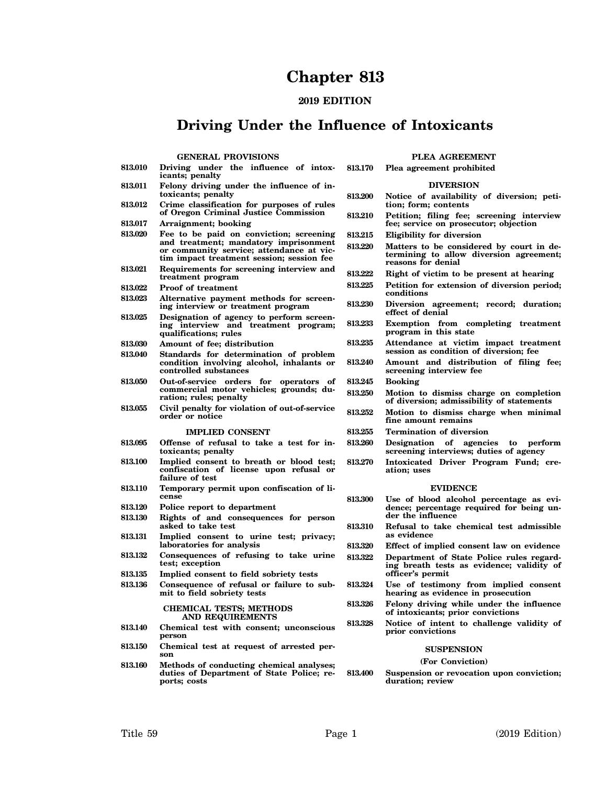# **Chapter 813**

# **2019 EDITION**

# **Driving Under the Influence of Intoxicants**

**PLEA AGREEMENT**

## **GENERAL PROVISIONS**

| 813.010 | Driving under the influence of intox-<br>icants; penalty                                                                       | 813.170 | Plea agreement prohibited                                                                                   |
|---------|--------------------------------------------------------------------------------------------------------------------------------|---------|-------------------------------------------------------------------------------------------------------------|
| 813.011 | Felony driving under the influence of in-                                                                                      |         | <b>DIVERSION</b>                                                                                            |
| 813.012 | toxicants; penalty<br>Crime classification for purposes of rules                                                               | 813.200 | Notice of availability of diversion; peti-<br>tion; form; contents                                          |
| 813.017 | of Oregon Criminal Justice Commission<br>Arraignment; booking                                                                  | 813.210 | Petition; filing fee; screening interview<br>fee; service on prosecutor; objection                          |
| 813.020 | Fee to be paid on conviction; screening                                                                                        | 813.215 | Eligibility for diversion                                                                                   |
|         | and treatment; mandatory imprisonment<br>or community service; attendance at vic-<br>tim impact treatment session; session fee | 813.220 | Matters to be considered by court in de-<br>termining to allow diversion agreement;<br>reasons for denial   |
| 813.021 | Requirements for screening interview and<br>treatment program                                                                  | 813.222 | Right of victim to be present at hearing                                                                    |
| 813.022 | <b>Proof of treatment</b>                                                                                                      | 813.225 | Petition for extension of diversion period;                                                                 |
| 813.023 | Alternative payment methods for screen-<br>ing interview or treatment program                                                  | 813.230 | conditions<br>Diversion agreement; record; duration;                                                        |
| 813.025 | Designation of agency to perform screen-<br>ing interview and treatment program;<br>qualifications; rules                      | 813.233 | effect of denial<br>Exemption from completing treatment<br>program in this state                            |
| 813.030 | Amount of fee; distribution                                                                                                    | 813.235 | Attendance at victim impact treatment                                                                       |
| 813.040 | Standards for determination of problem<br>condition involving alcohol, inhalants or<br>controlled substances                   | 813.240 | session as condition of diversion; fee<br>Amount and distribution of filing fee;<br>screening interview fee |
| 813.050 | Out-of-service orders for operators of                                                                                         | 813.245 | <b>Booking</b>                                                                                              |
|         | commercial motor vehicles; grounds; du-<br>ration; rules; penalty                                                              | 813.250 | Motion to dismiss charge on completion<br>of diversion; admissibility of statements                         |
| 813.055 | Civil penalty for violation of out-of-service<br>order or notice                                                               | 813.252 | Motion to dismiss charge when minimal<br>fine amount remains                                                |
|         | <b>IMPLIED CONSENT</b>                                                                                                         | 813.255 | <b>Termination of diversion</b>                                                                             |
| 813.095 | Offense of refusal to take a test for in-<br>toxicants; penalty                                                                | 813.260 | Designation of agencies<br>to perform<br>screening interviews; duties of agency                             |
| 813.100 | Implied consent to breath or blood test;<br>confiscation of license upon refusal or<br>failure of test                         | 813.270 | Intoxicated Driver Program Fund; cre-<br>ation; uses                                                        |
| 813.110 | Temporary permit upon confiscation of li-                                                                                      |         | <b>EVIDENCE</b>                                                                                             |
|         | cense                                                                                                                          | 813.300 | Use of blood alcohol percentage as evi-                                                                     |
| 813.120 | Police report to department                                                                                                    |         | dence; percentage required for being un-<br>der the influence                                               |
| 813.130 | Rights of and consequences for person<br>asked to take test                                                                    | 813.310 | Refusal to take chemical test admissible<br>as evidence                                                     |
| 813.131 | Implied consent to urine test; privacy;<br>laboratories for analysis                                                           | 813.320 | Effect of implied consent law on evidence                                                                   |
| 813.132 | Consequences of refusing to take urine<br>test; exception                                                                      | 813.322 | Department of State Police rules regard-<br>ing breath tests as evidence; validity of                       |
| 813.135 | Implied consent to field sobriety tests                                                                                        |         | officer's permit                                                                                            |
| 813.136 | Consequence of refusal or failure to sub-<br>mit to field sobriety tests                                                       | 813.324 | Use of testimony from implied consent<br>hearing as evidence in prosecution                                 |
|         | <b>CHEMICAL TESTS; METHODS</b><br>AND REQUIREMENTS                                                                             | 813.326 | Felony driving while under the influence<br>of intoxicants; prior convictions                               |
| 813.140 | Chemical test with consent; unconscious<br>person                                                                              | 813.328 | Notice of intent to challenge validity of<br>prior convictions                                              |
| 813.150 | Chemical test at request of arrested per-                                                                                      |         | <b>SUSPENSION</b>                                                                                           |
|         |                                                                                                                                |         |                                                                                                             |
|         | son                                                                                                                            |         | (For Conviction)                                                                                            |
| 813.160 | Methods of conducting chemical analyses;<br>duties of Department of State Police; re-<br>ports; costs                          | 813.400 | Suspension or revocation upon conviction;<br>duration; review                                               |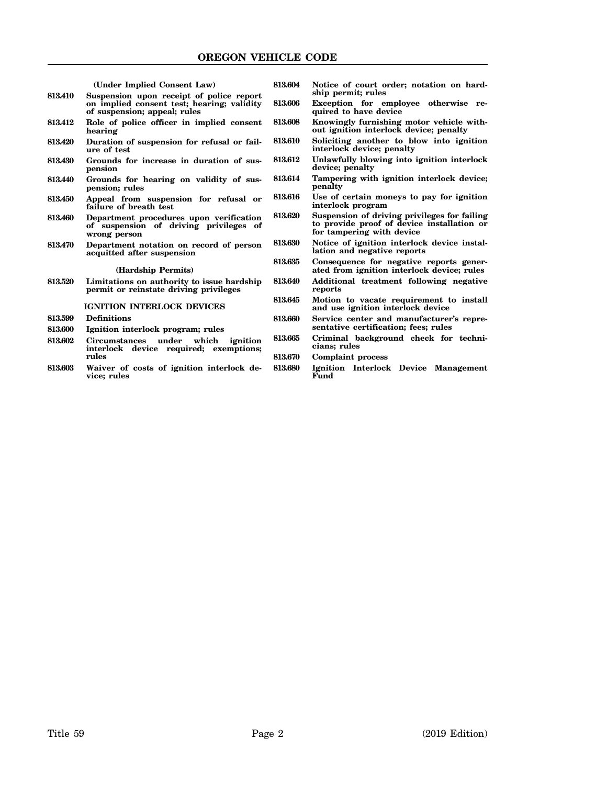|         | (Under Implied Consent Law)                                                                                            | 813.604 | Notice of court order; notation on hard-                                                                                |
|---------|------------------------------------------------------------------------------------------------------------------------|---------|-------------------------------------------------------------------------------------------------------------------------|
| 813.410 | Suspension upon receipt of police report<br>on implied consent test; hearing; validity<br>of suspension; appeal; rules | 813.606 | ship permit; rules<br>Exception for employee otherwise re-<br>quired to have device                                     |
| 813.412 | Role of police officer in implied consent<br>hearing                                                                   | 813.608 | Knowingly furnishing motor vehicle with-<br>out ignition interlock device; penalty                                      |
| 813.420 | Duration of suspension for refusal or fail-<br>ure of test                                                             | 813.610 | Soliciting another to blow into ignition<br>interlock device; penalty                                                   |
| 813.430 | Grounds for increase in duration of sus-<br>pension                                                                    | 813.612 | Unlawfully blowing into ignition interlock<br>device; penalty                                                           |
| 813.440 | Grounds for hearing on validity of sus-<br>pension; rules                                                              | 813.614 | Tampering with ignition interlock device;<br>penalty                                                                    |
| 813.450 | Appeal from suspension for refusal or<br>failure of breath test                                                        | 813.616 | Use of certain moneys to pay for ignition<br>interlock program                                                          |
| 813.460 | Department procedures upon verification<br>of suspension of driving privileges of<br>wrong person                      | 813.620 | Suspension of driving privileges for failing<br>to provide proof of device installation or<br>for tampering with device |
| 813.470 | Department notation on record of person<br>acquitted after suspension                                                  | 813.630 | Notice of ignition interlock device instal-<br>lation and negative reports                                              |
|         | (Hardship Permits)                                                                                                     | 813.635 | Consequence for negative reports gener-<br>ated from ignition interlock device; rules                                   |
| 813.520 | Limitations on authority to issue hardship<br>permit or reinstate driving privileges                                   | 813.640 | Additional treatment following negative<br>reports                                                                      |
|         | <b>IGNITION INTERLOCK DEVICES</b>                                                                                      | 813.645 | Motion to vacate requirement to install<br>and use ignition interlock device                                            |
| 813.599 | <b>Definitions</b>                                                                                                     | 813.660 | Service center and manufacturer's repre-                                                                                |
| 813.600 | Ignition interlock program; rules                                                                                      |         | sentative certification; fees; rules                                                                                    |
| 813.602 | Circumstances under which<br>ignition<br>interlock device required; exemptions;                                        | 813.665 | Criminal background check for techni-<br>cians; rules                                                                   |
|         | rules                                                                                                                  | 813.670 | <b>Complaint process</b>                                                                                                |
| 813.603 | Waiver of costs of ignition interlock de-<br>vice; rules                                                               | 813.680 | Ignition Interlock Device Management<br>Fund                                                                            |
|         |                                                                                                                        |         |                                                                                                                         |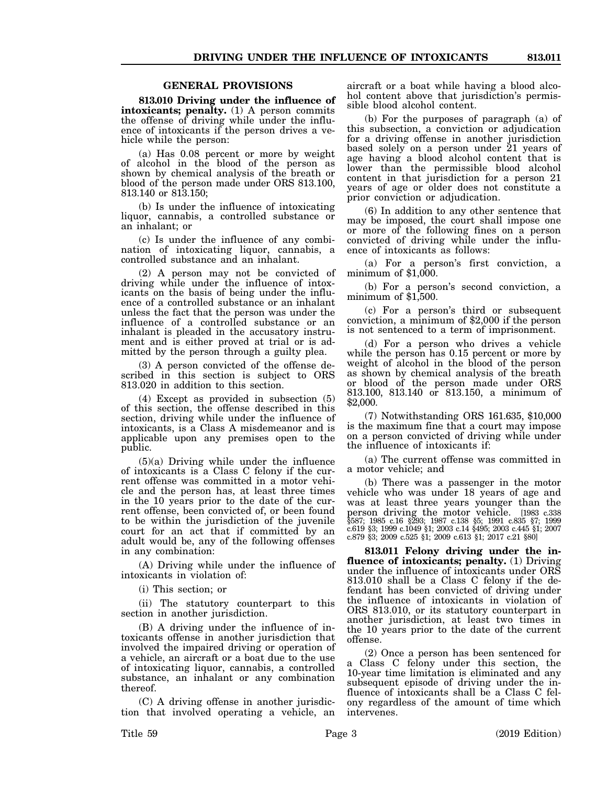# **GENERAL PROVISIONS**

**813.010 Driving under the influence of intoxicants; penalty.** (1) A person commits the offense of driving while under the influence of intoxicants if the person drives a vehicle while the person:

(a) Has 0.08 percent or more by weight of alcohol in the blood of the person as shown by chemical analysis of the breath or blood of the person made under ORS 813.100, 813.140 or 813.150;

(b) Is under the influence of intoxicating liquor, cannabis, a controlled substance or an inhalant; or

(c) Is under the influence of any combination of intoxicating liquor, cannabis, a controlled substance and an inhalant.

(2) A person may not be convicted of driving while under the influence of intoxicants on the basis of being under the influence of a controlled substance or an inhalant unless the fact that the person was under the influence of a controlled substance or an inhalant is pleaded in the accusatory instrument and is either proved at trial or is admitted by the person through a guilty plea.

(3) A person convicted of the offense described in this section is subject to ORS 813.020 in addition to this section.

(4) Except as provided in subsection (5) of this section, the offense described in this section, driving while under the influence of intoxicants, is a Class A misdemeanor and is applicable upon any premises open to the public.

(5)(a) Driving while under the influence of intoxicants is a Class C felony if the current offense was committed in a motor vehicle and the person has, at least three times in the 10 years prior to the date of the current offense, been convicted of, or been found to be within the jurisdiction of the juvenile court for an act that if committed by an adult would be, any of the following offenses in any combination:

(A) Driving while under the influence of intoxicants in violation of:

(i) This section; or

(ii) The statutory counterpart to this section in another jurisdiction.

(B) A driving under the influence of intoxicants offense in another jurisdiction that involved the impaired driving or operation of a vehicle, an aircraft or a boat due to the use of intoxicating liquor, cannabis, a controlled substance, an inhalant or any combination thereof.

(C) A driving offense in another jurisdiction that involved operating a vehicle, an aircraft or a boat while having a blood alcohol content above that jurisdiction's permissible blood alcohol content.

(b) For the purposes of paragraph (a) of this subsection, a conviction or adjudication for a driving offense in another jurisdiction based solely on a person under 21 years of age having a blood alcohol content that is lower than the permissible blood alcohol content in that jurisdiction for a person 21 years of age or older does not constitute a prior conviction or adjudication.

(6) In addition to any other sentence that may be imposed, the court shall impose one or more of the following fines on a person convicted of driving while under the influence of intoxicants as follows:

(a) For a person's first conviction, a minimum of \$1,000.

(b) For a person's second conviction, a minimum of \$1,500.

(c) For a person's third or subsequent conviction, a minimum of \$2,000 if the person is not sentenced to a term of imprisonment.

(d) For a person who drives a vehicle while the person has 0.15 percent or more by weight of alcohol in the blood of the person as shown by chemical analysis of the breath or blood of the person made under ORS 813.100, 813.140 or 813.150, a minimum of \$2,000.

(7) Notwithstanding ORS 161.635, \$10,000 is the maximum fine that a court may impose on a person convicted of driving while under the influence of intoxicants if:

(a) The current offense was committed in a motor vehicle; and

(b) There was a passenger in the motor vehicle who was under 18 years of age and was at least three years younger than the person driving the motor vehicle. [1983 c.338 §587; 1985 c.16 §293; 1987 c.138 §5; 1991 c.835 §7; 1999 c.619 §3; 1999 c.1049 §1; 2003 c.14 §495; 2003 c.445 §1; 2007 c.879 §3; 2009 c.525 §1; 2009 c.613 §1; 2017 c.21 §80]

**813.011 Felony driving under the influence of intoxicants; penalty.** (1) Driving under the influence of intoxicants under ORS 813.010 shall be a Class C felony if the defendant has been convicted of driving under the influence of intoxicants in violation of ORS 813.010, or its statutory counterpart in another jurisdiction, at least two times in the 10 years prior to the date of the current offense.

(2) Once a person has been sentenced for a Class C felony under this section, the 10-year time limitation is eliminated and any subsequent episode of driving under the influence of intoxicants shall be a Class C felony regardless of the amount of time which intervenes.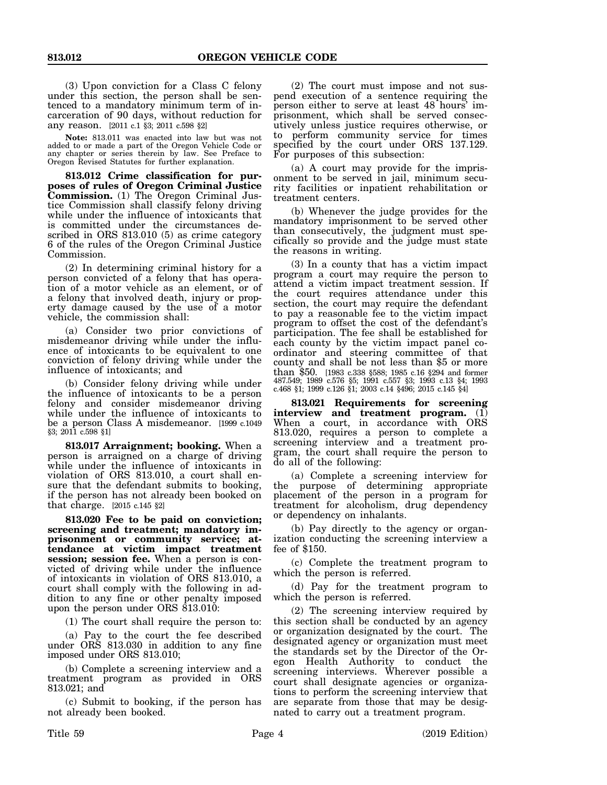(3) Upon conviction for a Class C felony under this section, the person shall be sentenced to a mandatory minimum term of incarceration of 90 days, without reduction for any reason. [2011 c.1 §3; 2011 c.598 §2]

**Note:** 813.011 was enacted into law but was not added to or made a part of the Oregon Vehicle Code or any chapter or series therein by law. See Preface to Oregon Revised Statutes for further explanation.

**813.012 Crime classification for purposes of rules of Oregon Criminal Justice Commission.** (1) The Oregon Criminal Justice Commission shall classify felony driving while under the influence of intoxicants that is committed under the circumstances described in ORS 813.010 (5) as crime category 6 of the rules of the Oregon Criminal Justice Commission.

(2) In determining criminal history for a person convicted of a felony that has operation of a motor vehicle as an element, or of a felony that involved death, injury or property damage caused by the use of a motor vehicle, the commission shall:

(a) Consider two prior convictions of misdemeanor driving while under the influence of intoxicants to be equivalent to one conviction of felony driving while under the influence of intoxicants; and

(b) Consider felony driving while under the influence of intoxicants to be a person felony and consider misdemeanor driving while under the influence of intoxicants to be a person Class A misdemeanor. [1999 c.1049 §3; 2011 c.598 §1]

**813.017 Arraignment; booking.** When a person is arraigned on a charge of driving while under the influence of intoxicants in violation of ORS 813.010, a court shall ensure that the defendant submits to booking, if the person has not already been booked on that charge. [2015 c.145 §2]

**813.020 Fee to be paid on conviction; screening and treatment; mandatory imprisonment or community service; attendance at victim impact treatment session; session fee.** When a person is convicted of driving while under the influence of intoxicants in violation of ORS 813.010, a court shall comply with the following in addition to any fine or other penalty imposed upon the person under ORS 813.010:

(1) The court shall require the person to:

(a) Pay to the court the fee described under ORS 813.030 in addition to any fine imposed under ORS 813.010;

(b) Complete a screening interview and a treatment program as provided in ORS 813.021; and

(c) Submit to booking, if the person has not already been booked.

(2) The court must impose and not suspend execution of a sentence requiring the person either to serve at least 48 hours' imprisonment, which shall be served consecutively unless justice requires otherwise, or to perform community service for times specified by the court under ORS 137.129. For purposes of this subsection:

(a) A court may provide for the imprisonment to be served in jail, minimum security facilities or inpatient rehabilitation or treatment centers.

(b) Whenever the judge provides for the mandatory imprisonment to be served other than consecutively, the judgment must specifically so provide and the judge must state the reasons in writing.

(3) In a county that has a victim impact program a court may require the person to attend a victim impact treatment session. If the court requires attendance under this section, the court may require the defendant to pay a reasonable fee to the victim impact program to offset the cost of the defendant's participation. The fee shall be established for each county by the victim impact panel coordinator and steering committee of that county and shall be not less than \$5 or more than \$50. [1983 c.338 §588; 1985 c.16 §294 and former 487.549; 1989 c.576 §5; 1991 c.557 §3; 1993 c.13 §4; 1993 c.468 §1; 1999 c.126 §1; 2003 c.14 §496; 2015 c.145 §4]

**813.021 Requirements for screening interview and treatment program.** (1) When a court, in accordance with ORS 813.020, requires a person to complete a screening interview and a treatment program, the court shall require the person to do all of the following:

(a) Complete a screening interview for the purpose of determining appropriate placement of the person in a program for treatment for alcoholism, drug dependency or dependency on inhalants.

(b) Pay directly to the agency or organization conducting the screening interview a fee of \$150.

(c) Complete the treatment program to which the person is referred.

(d) Pay for the treatment program to which the person is referred.

(2) The screening interview required by this section shall be conducted by an agency or organization designated by the court. The designated agency or organization must meet the standards set by the Director of the Oregon Health Authority to conduct the screening interviews. Wherever possible a court shall designate agencies or organizations to perform the screening interview that are separate from those that may be designated to carry out a treatment program.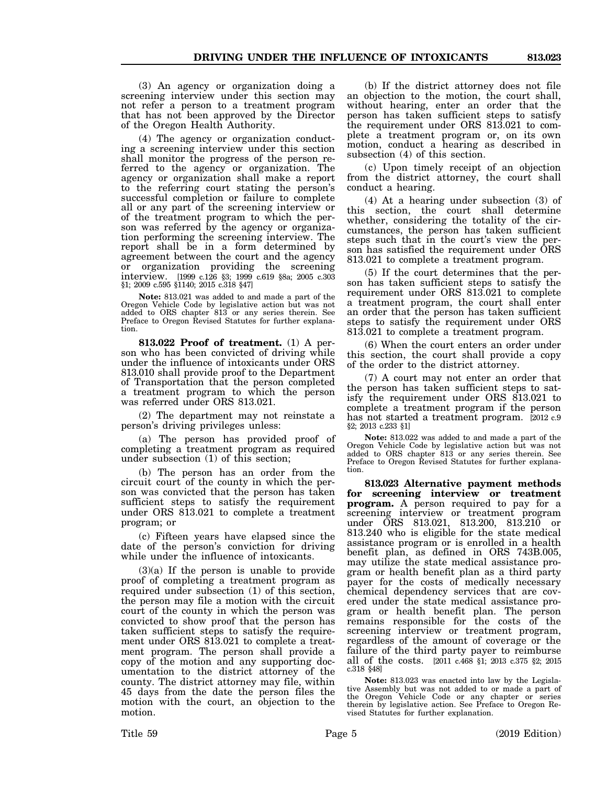(3) An agency or organization doing a screening interview under this section may not refer a person to a treatment program that has not been approved by the Director of the Oregon Health Authority.

(4) The agency or organization conducting a screening interview under this section shall monitor the progress of the person referred to the agency or organization. The agency or organization shall make a report to the referring court stating the person's successful completion or failure to complete all or any part of the screening interview or of the treatment program to which the person was referred by the agency or organization performing the screening interview. The report shall be in a form determined by agreement between the court and the agency or organization providing the screening interview. [1999 c.126 §3; 1999 c.619 §8a; 2005 c.303 §1; 2009 c.595 §1140; 2015 c.318 §47]

**Note:** 813.021 was added to and made a part of the Oregon Vehicle Code by legislative action but was not added to ORS chapter 813 or any series therein. See Preface to Oregon Revised Statutes for further explanation.

**813.022 Proof of treatment.** (1) A person who has been convicted of driving while under the influence of intoxicants under ORS 813.010 shall provide proof to the Department of Transportation that the person completed a treatment program to which the person was referred under ORS 813.021.

(2) The department may not reinstate a person's driving privileges unless:

(a) The person has provided proof of completing a treatment program as required under subsection (1) of this section;

(b) The person has an order from the circuit court of the county in which the person was convicted that the person has taken sufficient steps to satisfy the requirement under ORS 813.021 to complete a treatment program; or

(c) Fifteen years have elapsed since the date of the person's conviction for driving while under the influence of intoxicants.

(3)(a) If the person is unable to provide proof of completing a treatment program as required under subsection (1) of this section, the person may file a motion with the circuit court of the county in which the person was convicted to show proof that the person has taken sufficient steps to satisfy the requirement under ORS 813.021 to complete a treatment program. The person shall provide a copy of the motion and any supporting documentation to the district attorney of the county. The district attorney may file, within 45 days from the date the person files the motion with the court, an objection to the motion.

(b) If the district attorney does not file an objection to the motion, the court shall, without hearing, enter an order that the person has taken sufficient steps to satisfy the requirement under ORS 813.021 to complete a treatment program or, on its own motion, conduct a hearing as described in subsection (4) of this section.

(c) Upon timely receipt of an objection from the district attorney, the court shall conduct a hearing.

(4) At a hearing under subsection (3) of this section, the court shall determine whether, considering the totality of the circumstances, the person has taken sufficient steps such that in the court's view the person has satisfied the requirement under ORS 813.021 to complete a treatment program.

(5) If the court determines that the person has taken sufficient steps to satisfy the requirement under ORS 813.021 to complete a treatment program, the court shall enter an order that the person has taken sufficient steps to satisfy the requirement under ORS 813.021 to complete a treatment program.

(6) When the court enters an order under this section, the court shall provide a copy of the order to the district attorney.

(7) A court may not enter an order that the person has taken sufficient steps to satisfy the requirement under ORS 813.021 to complete a treatment program if the person has not started a treatment program. [2012 c.9 §2; 2013 c.233 §1]

**Note:** 813.022 was added to and made a part of the Oregon Vehicle Code by legislative action but was not added to ORS chapter 813 or any series therein. See Preface to Oregon Revised Statutes for further explanation.

**813.023 Alternative payment methods for screening interview or treatment program.** A person required to pay for a screening interview or treatment program under ORS 813.021, 813.200, 813.210 or 813.240 who is eligible for the state medical assistance program or is enrolled in a health benefit plan, as defined in ORS 743B.005, may utilize the state medical assistance program or health benefit plan as a third party payer for the costs of medically necessary chemical dependency services that are covered under the state medical assistance program or health benefit plan. The person remains responsible for the costs of the screening interview or treatment program, regardless of the amount of coverage or the failure of the third party payer to reimburse all of the costs. [2011 c.468 §1; 2013 c.375 §2; 2015 c.318 §48]

**Note:** 813.023 was enacted into law by the Legislative Assembly but was not added to or made a part of the Oregon Vehicle Code or any chapter or series therein by legislative action. See Preface to Oregon Revised Statutes for further explanation.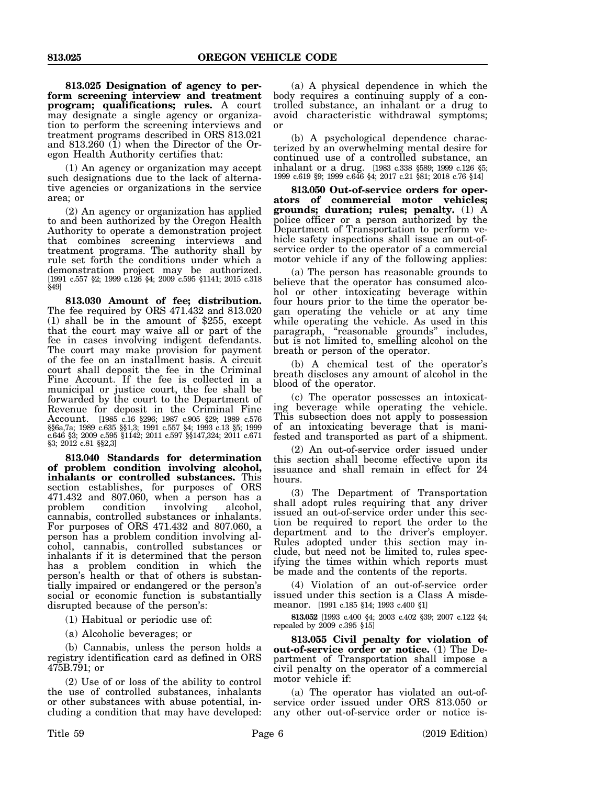**813.025 Designation of agency to perform screening interview and treatment program; qualifications; rules.** A court may designate a single agency or organization to perform the screening interviews and treatment programs described in ORS 813.021 and  $813.260$  (1) when the Director of the Oregon Health Authority certifies that:

(1) An agency or organization may accept such designations due to the lack of alternative agencies or organizations in the service area; or

(2) An agency or organization has applied to and been authorized by the Oregon Health Authority to operate a demonstration project that combines screening interviews and treatment programs. The authority shall by rule set forth the conditions under which a demonstration project may be authorized. [1991 c.557 §2; 1999 c.126 §4; 2009 c.595 §1141; 2015 c.318 §49]

**813.030 Amount of fee; distribution.** The fee required by ORS 471.432 and 813.020 (1) shall be in the amount of \$255, except that the court may waive all or part of the fee in cases involving indigent defendants. The court may make provision for payment of the fee on an installment basis. A circuit court shall deposit the fee in the Criminal Fine Account. If the fee is collected in a municipal or justice court, the fee shall be forwarded by the court to the Department of Revenue for deposit in the Criminal Fine Account. [1985 c.16 §296; 1987 c.905 §29; 1989 c.576 §§6a,7a; 1989 c.635 §§1,3; 1991 c.557 §4; 1993 c.13 §5; 1999 c.646 §3; 2009 c.595 §1142; 2011 c.597 §§147,324; 2011 c.671 §3; 2012 c.81 §§2,3]

**813.040 Standards for determination of problem condition involving alcohol, inhalants or controlled substances.** This section establishes, for purposes of ORS 471.432 and 807.060, when a person has a problem condition involving alcohol, condition cannabis, controlled substances or inhalants. For purposes of ORS 471.432 and 807.060, a person has a problem condition involving alcohol, cannabis, controlled substances or inhalants if it is determined that the person has a problem condition in which the person's health or that of others is substantially impaired or endangered or the person's social or economic function is substantially disrupted because of the person's:

(1) Habitual or periodic use of:

(a) Alcoholic beverages; or

(b) Cannabis, unless the person holds a registry identification card as defined in ORS 475B.791; or

(2) Use of or loss of the ability to control the use of controlled substances, inhalants or other substances with abuse potential, including a condition that may have developed:

(a) A physical dependence in which the body requires a continuing supply of a controlled substance, an inhalant or a drug to avoid characteristic withdrawal symptoms; or

(b) A psychological dependence characterized by an overwhelming mental desire for continued use of a controlled substance, an inhalant or a drug. [1983 c.338 §589; 1999 c.126 §5; 1999 c.619 §9; 1999 c.646 §4; 2017 c.21 §81; 2018 c.76 §14]

**813.050 Out-of-service orders for operators of commercial motor vehicles; grounds; duration; rules; penalty.** (1) A police officer or a person authorized by the Department of Transportation to perform vehicle safety inspections shall issue an out-ofservice order to the operator of a commercial motor vehicle if any of the following applies:

(a) The person has reasonable grounds to believe that the operator has consumed alcohol or other intoxicating beverage within four hours prior to the time the operator began operating the vehicle or at any time while operating the vehicle. As used in this paragraph, "reasonable grounds" includes, but is not limited to, smelling alcohol on the breath or person of the operator.

(b) A chemical test of the operator's breath discloses any amount of alcohol in the blood of the operator.

(c) The operator possesses an intoxicating beverage while operating the vehicle. This subsection does not apply to possession of an intoxicating beverage that is manifested and transported as part of a shipment.

(2) An out-of-service order issued under this section shall become effective upon its issuance and shall remain in effect for 24 hours.

(3) The Department of Transportation shall adopt rules requiring that any driver issued an out-of-service order under this section be required to report the order to the department and to the driver's employer. Rules adopted under this section may include, but need not be limited to, rules specifying the times within which reports must be made and the contents of the reports.

(4) Violation of an out-of-service order issued under this section is a Class A misdemeanor. [1991 c.185 §14; 1993 c.400 §1]

**813.052** [1993 c.400 §4; 2003 c.402 §39; 2007 c.122 §4; repealed by 2009 c.395 §15]

**813.055 Civil penalty for violation of out-of-service order or notice.** (1) The Department of Transportation shall impose a civil penalty on the operator of a commercial motor vehicle if:

(a) The operator has violated an out-ofservice order issued under ORS 813.050 or any other out-of-service order or notice is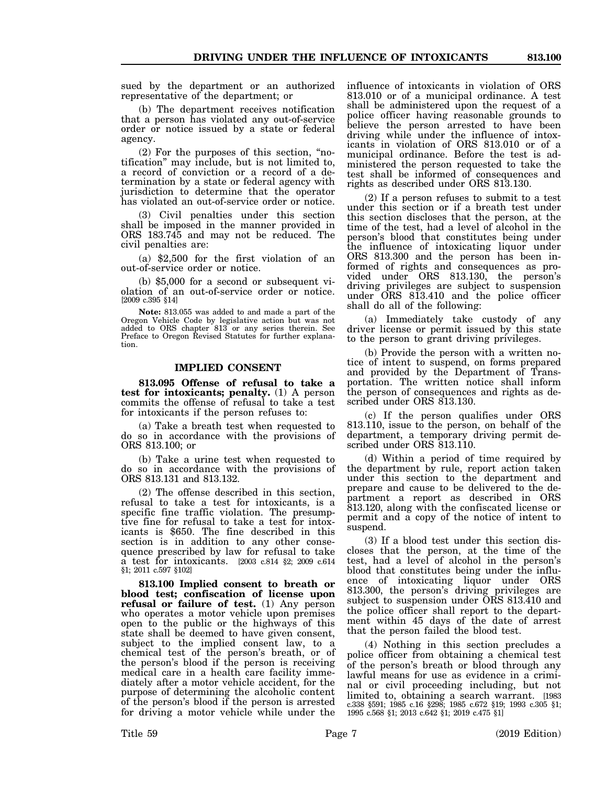sued by the department or an authorized representative of the department; or

(b) The department receives notification that a person has violated any out-of-service order or notice issued by a state or federal agency.

(2) For the purposes of this section, "notification" may include, but is not limited to, a record of conviction or a record of a determination by a state or federal agency with jurisdiction to determine that the operator has violated an out-of-service order or notice.

(3) Civil penalties under this section shall be imposed in the manner provided in ORS 183.745 and may not be reduced. The civil penalties are:

(a) \$2,500 for the first violation of an out-of-service order or notice.

(b) \$5,000 for a second or subsequent violation of an out-of-service order or notice. [2009 c.395 §14]

**Note:** 813.055 was added to and made a part of the Oregon Vehicle Code by legislative action but was not added to ORS chapter 813 or any series therein. See Preface to Oregon Revised Statutes for further explanation.

#### **IMPLIED CONSENT**

**813.095 Offense of refusal to take a test for intoxicants; penalty.** (1) A person commits the offense of refusal to take a test for intoxicants if the person refuses to:

(a) Take a breath test when requested to do so in accordance with the provisions of ORS 813.100; or

(b) Take a urine test when requested to do so in accordance with the provisions of ORS 813.131 and 813.132.

(2) The offense described in this section, refusal to take a test for intoxicants, is a specific fine traffic violation. The presumptive fine for refusal to take a test for intoxicants is \$650. The fine described in this section is in addition to any other consequence prescribed by law for refusal to take a test for intoxicants. [2003 c.814 §2; 2009 c.614 §1; 2011 c.597 §102]

**813.100 Implied consent to breath or blood test; confiscation of license upon refusal or failure of test.** (1) Any person who operates a motor vehicle upon premises open to the public or the highways of this state shall be deemed to have given consent, subject to the implied consent law, to a chemical test of the person's breath, or of the person's blood if the person is receiving medical care in a health care facility immediately after a motor vehicle accident, for the purpose of determining the alcoholic content of the person's blood if the person is arrested for driving a motor vehicle while under the

influence of intoxicants in violation of ORS 813.010 or of a municipal ordinance. A test shall be administered upon the request of a police officer having reasonable grounds to believe the person arrested to have been driving while under the influence of intoxicants in violation of ORS 813.010 or of a municipal ordinance. Before the test is administered the person requested to take the test shall be informed of consequences and rights as described under ORS 813.130.

(2) If a person refuses to submit to a test under this section or if a breath test under this section discloses that the person, at the time of the test, had a level of alcohol in the person's blood that constitutes being under the influence of intoxicating liquor under ORS 813.300 and the person has been informed of rights and consequences as provided under ORS 813.130, the person's driving privileges are subject to suspension under ORS 813.410 and the police officer shall do all of the following:

(a) Immediately take custody of any driver license or permit issued by this state to the person to grant driving privileges.

(b) Provide the person with a written notice of intent to suspend, on forms prepared and provided by the Department of Transportation. The written notice shall inform the person of consequences and rights as described under ORS 813.130.

(c) If the person qualifies under ORS 813.110, issue to the person, on behalf of the department, a temporary driving permit described under ORS 813.110.

(d) Within a period of time required by the department by rule, report action taken under this section to the department and prepare and cause to be delivered to the department a report as described in ORS 813.120, along with the confiscated license or permit and a copy of the notice of intent to suspend.

(3) If a blood test under this section discloses that the person, at the time of the test, had a level of alcohol in the person's blood that constitutes being under the influence of intoxicating liquor under ORS 813.300, the person's driving privileges are subject to suspension under ORS 813.410 and the police officer shall report to the department within 45 days of the date of arrest that the person failed the blood test.

(4) Nothing in this section precludes a police officer from obtaining a chemical test of the person's breath or blood through any lawful means for use as evidence in a criminal or civil proceeding including, but not limited to, obtaining a search warrant. [1983 c.338 §591; 1985 c.16 §298; 1985 c.672 §19; 1993 c.305 §1; 1995 c.568 §1; 2013 c.642 §1; 2019 c.475 §1]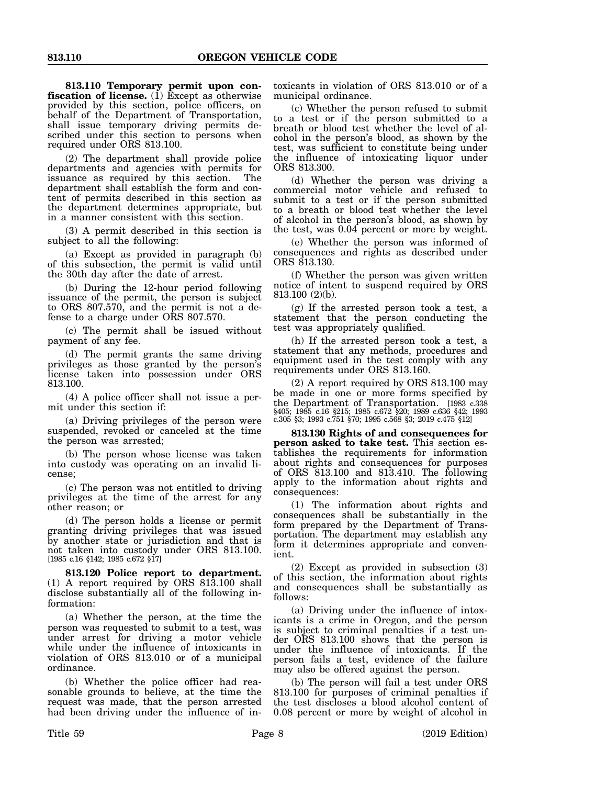**813.110 Temporary permit upon confiscation of license.** (1) Except as otherwise provided by this section, police officers, on behalf of the Department of Transportation, shall issue temporary driving permits described under this section to persons when required under ORS 813.100.

(2) The department shall provide police departments and agencies with permits for issuance as required by this section. The department shall establish the form and content of permits described in this section as the department determines appropriate, but in a manner consistent with this section.

(3) A permit described in this section is subject to all the following:

(a) Except as provided in paragraph (b) of this subsection, the permit is valid until the 30th day after the date of arrest.

(b) During the 12-hour period following issuance of the permit, the person is subject to ORS 807.570, and the permit is not a defense to a charge under ORS 807.570.

(c) The permit shall be issued without payment of any fee.

(d) The permit grants the same driving privileges as those granted by the person's license taken into possession under ORS 813.100.

(4) A police officer shall not issue a permit under this section if:

(a) Driving privileges of the person were suspended, revoked or canceled at the time the person was arrested;

(b) The person whose license was taken into custody was operating on an invalid license;

(c) The person was not entitled to driving privileges at the time of the arrest for any other reason; or

(d) The person holds a license or permit granting driving privileges that was issued by another state or jurisdiction and that is not taken into custody under ORS 813.100. [1985 c.16 §142; 1985 c.672 §17]

**813.120 Police report to department.** (1) A report required by ORS  $81\overline{3}$ .100 shall disclose substantially all of the following information:

(a) Whether the person, at the time the person was requested to submit to a test, was under arrest for driving a motor vehicle while under the influence of intoxicants in violation of ORS 813.010 or of a municipal ordinance.

(b) Whether the police officer had reasonable grounds to believe, at the time the request was made, that the person arrested had been driving under the influence of in-

toxicants in violation of ORS 813.010 or of a municipal ordinance.

(c) Whether the person refused to submit to a test or if the person submitted to a breath or blood test whether the level of alcohol in the person's blood, as shown by the test, was sufficient to constitute being under the influence of intoxicating liquor under ORS 813.300.

(d) Whether the person was driving a commercial motor vehicle and refused to submit to a test or if the person submitted to a breath or blood test whether the level of alcohol in the person's blood, as shown by the test, was 0.04 percent or more by weight.

(e) Whether the person was informed of consequences and rights as described under ORS 813.130.

(f) Whether the person was given written notice of intent to suspend required by ORS 813.100 (2)(b).

(g) If the arrested person took a test, a statement that the person conducting the test was appropriately qualified.

(h) If the arrested person took a test, a statement that any methods, procedures and equipment used in the test comply with any requirements under ORS 813.160.

(2) A report required by ORS 813.100 may be made in one or more forms specified by the Department of Transportation. [1983 c.338 §405; 1985 c.16 §215; 1985 c.672 §20; 1989 c.636 §42; 1993 c.305 §3; 1993 c.751 §70; 1995 c.568 §3; 2019 c.475 §12]

**813.130 Rights of and consequences for person asked to take test.** This section establishes the requirements for information about rights and consequences for purposes of ORS 813.100 and 813.410. The following apply to the information about rights and consequences:

(1) The information about rights and consequences shall be substantially in the form prepared by the Department of Transportation. The department may establish any form it determines appropriate and convenient.

(2) Except as provided in subsection (3) of this section, the information about rights and consequences shall be substantially as follows:

(a) Driving under the influence of intoxicants is a crime in Oregon, and the person is subject to criminal penalties if a test under ORS 813.100 shows that the person is under the influence of intoxicants. If the person fails a test, evidence of the failure may also be offered against the person.

(b) The person will fail a test under ORS 813.100 for purposes of criminal penalties if the test discloses a blood alcohol content of 0.08 percent or more by weight of alcohol in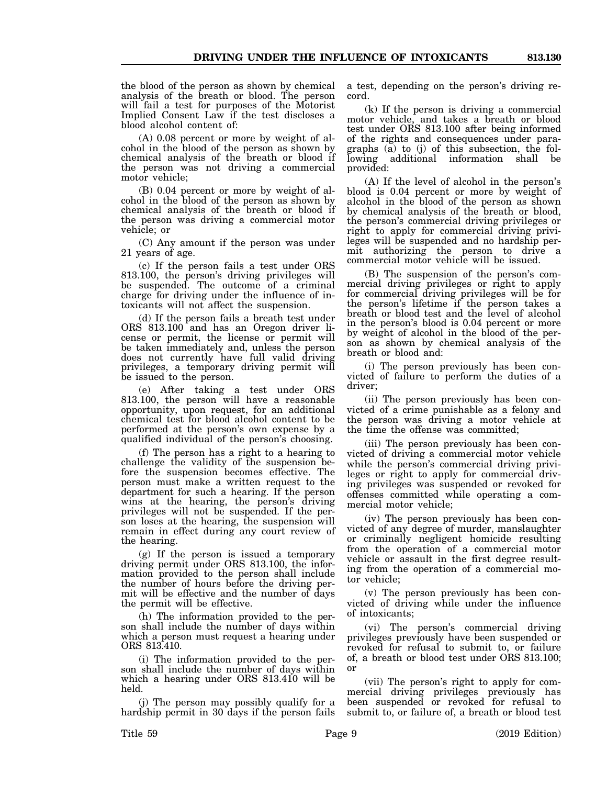the blood of the person as shown by chemical analysis of the breath or blood. The person will fail a test for purposes of the Motorist Implied Consent Law if the test discloses a blood alcohol content of:

(A) 0.08 percent or more by weight of alcohol in the blood of the person as shown by chemical analysis of the breath or blood if the person was not driving a commercial motor vehicle;

(B) 0.04 percent or more by weight of alcohol in the blood of the person as shown by chemical analysis of the breath or blood if the person was driving a commercial motor vehicle; or

(C) Any amount if the person was under 21 years of age.

(c) If the person fails a test under ORS 813.100, the person's driving privileges will be suspended. The outcome of a criminal charge for driving under the influence of intoxicants will not affect the suspension.

(d) If the person fails a breath test under ORS 813.100 and has an Oregon driver license or permit, the license or permit will be taken immediately and, unless the person does not currently have full valid driving privileges, a temporary driving permit will be issued to the person.

(e) After taking a test under ORS 813.100, the person will have a reasonable opportunity, upon request, for an additional chemical test for blood alcohol content to be performed at the person's own expense by a qualified individual of the person's choosing.

(f) The person has a right to a hearing to challenge the validity of the suspension before the suspension becomes effective. The person must make a written request to the department for such a hearing. If the person wins at the hearing, the person's driving privileges will not be suspended. If the person loses at the hearing, the suspension will remain in effect during any court review of the hearing.

(g) If the person is issued a temporary driving permit under ORS 813.100, the information provided to the person shall include the number of hours before the driving permit will be effective and the number of days the permit will be effective.

(h) The information provided to the person shall include the number of days within which a person must request a hearing under ORS 813.410.

(i) The information provided to the person shall include the number of days within which a hearing under ORS 813.410 will be held.

(j) The person may possibly qualify for a hardship permit in 30 days if the person fails a test, depending on the person's driving record.

(k) If the person is driving a commercial motor vehicle, and takes a breath or blood test under ORS 813.100 after being informed of the rights and consequences under paragraphs (a) to (j) of this subsection, the following additional information shall be provided:

(A) If the level of alcohol in the person's blood is 0.04 percent or more by weight of alcohol in the blood of the person as shown by chemical analysis of the breath or blood, the person's commercial driving privileges or right to apply for commercial driving privileges will be suspended and no hardship permit authorizing the person to drive a commercial motor vehicle will be issued.

(B) The suspension of the person's commercial driving privileges or right to apply for commercial driving privileges will be for the person's lifetime if the person takes a breath or blood test and the level of alcohol in the person's blood is 0.04 percent or more by weight of alcohol in the blood of the person as shown by chemical analysis of the breath or blood and:

(i) The person previously has been convicted of failure to perform the duties of a driver;

(ii) The person previously has been convicted of a crime punishable as a felony and the person was driving a motor vehicle at the time the offense was committed;

(iii) The person previously has been convicted of driving a commercial motor vehicle while the person's commercial driving privileges or right to apply for commercial driving privileges was suspended or revoked for offenses committed while operating a commercial motor vehicle;

(iv) The person previously has been convicted of any degree of murder, manslaughter or criminally negligent homicide resulting from the operation of a commercial motor vehicle or assault in the first degree resulting from the operation of a commercial motor vehicle;

(v) The person previously has been convicted of driving while under the influence of intoxicants;

(vi) The person's commercial driving privileges previously have been suspended or revoked for refusal to submit to, or failure of, a breath or blood test under ORS 813.100; or

(vii) The person's right to apply for commercial driving privileges previously has been suspended or revoked for refusal to submit to, or failure of, a breath or blood test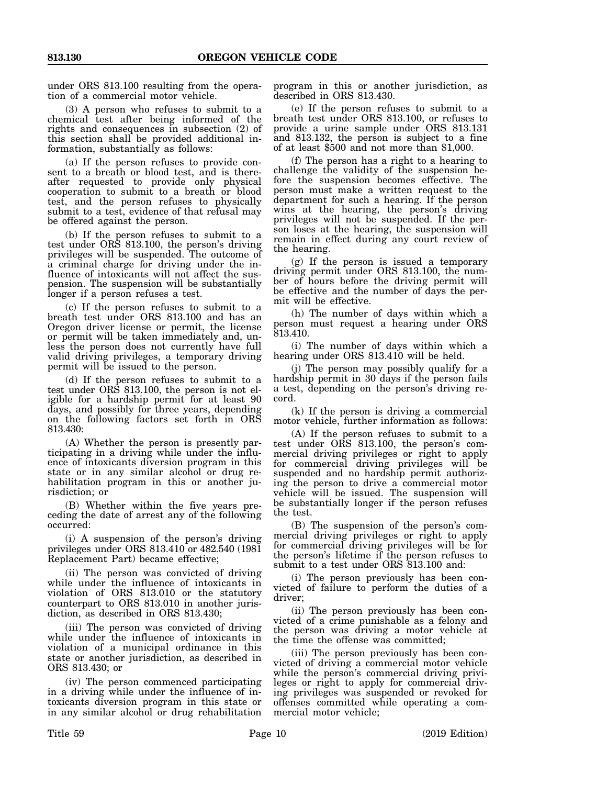under ORS 813.100 resulting from the operation of a commercial motor vehicle.

(3) A person who refuses to submit to a chemical test after being informed of the rights and consequences in subsection (2) of this section shall be provided additional information, substantially as follows:

(a) If the person refuses to provide consent to a breath or blood test, and is thereafter requested to provide only physical cooperation to submit to a breath or blood test, and the person refuses to physically submit to a test, evidence of that refusal may be offered against the person.

(b) If the person refuses to submit to a test under ORS 813.100, the person's driving privileges will be suspended. The outcome of a criminal charge for driving under the influence of intoxicants will not affect the suspension. The suspension will be substantially longer if a person refuses a test.

(c) If the person refuses to submit to a breath test under ORS 813.100 and has an Oregon driver license or permit, the license or permit will be taken immediately and, unless the person does not currently have full valid driving privileges, a temporary driving permit will be issued to the person.

(d) If the person refuses to submit to a test under ORS 813.100, the person is not eligible for a hardship permit for at least 90 days, and possibly for three years, depending on the following factors set forth in ORS 813.430:

(A) Whether the person is presently participating in a driving while under the influence of intoxicants diversion program in this state or in any similar alcohol or drug rehabilitation program in this or another jurisdiction; or

(B) Whether within the five years preceding the date of arrest any of the following occurred:

(i) A suspension of the person's driving privileges under ORS 813.410 or 482.540 (1981 Replacement Part) became effective;

(ii) The person was convicted of driving while under the influence of intoxicants in violation of ORS 813.010 or the statutory counterpart to ORS 813.010 in another jurisdiction, as described in ORS 813.430;

(iii) The person was convicted of driving while under the influence of intoxicants in violation of a municipal ordinance in this state or another jurisdiction, as described in ORS 813.430; or

(iv) The person commenced participating in a driving while under the influence of intoxicants diversion program in this state or in any similar alcohol or drug rehabilitation program in this or another jurisdiction, as described in ORS 813.430.

(e) If the person refuses to submit to a breath test under ORS 813.100, or refuses to provide a urine sample under ORS 813.131 and 813.132, the person is subject to a fine of at least \$500 and not more than \$1,000.

(f) The person has a right to a hearing to challenge the validity of the suspension before the suspension becomes effective. The person must make a written request to the department for such a hearing. If the person wins at the hearing, the person's driving privileges will not be suspended. If the person loses at the hearing, the suspension will remain in effect during any court review of the hearing.

(g) If the person is issued a temporary driving permit under ORS 813.100, the number of hours before the driving permit will be effective and the number of days the permit will be effective.

(h) The number of days within which a person must request a hearing under ORS 813.410.

(i) The number of days within which a hearing under ORS 813.410 will be held.

(j) The person may possibly qualify for a hardship permit in 30 days if the person fails a test, depending on the person's driving record.

(k) If the person is driving a commercial motor vehicle, further information as follows:

(A) If the person refuses to submit to a test under ORS 813.100, the person's commercial driving privileges or right to apply for commercial driving privileges will be suspended and no hardship permit authorizing the person to drive a commercial motor vehicle will be issued. The suspension will be substantially longer if the person refuses the test.

(B) The suspension of the person's commercial driving privileges or right to apply for commercial driving privileges will be for the person's lifetime if the person refuses to submit to a test under ORS 813.100 and:

(i) The person previously has been convicted of failure to perform the duties of a driver;

(ii) The person previously has been convicted of a crime punishable as a felony and the person was driving a motor vehicle at the time the offense was committed;

(iii) The person previously has been convicted of driving a commercial motor vehicle while the person's commercial driving privileges or right to apply for commercial driving privileges was suspended or revoked for offenses committed while operating a commercial motor vehicle;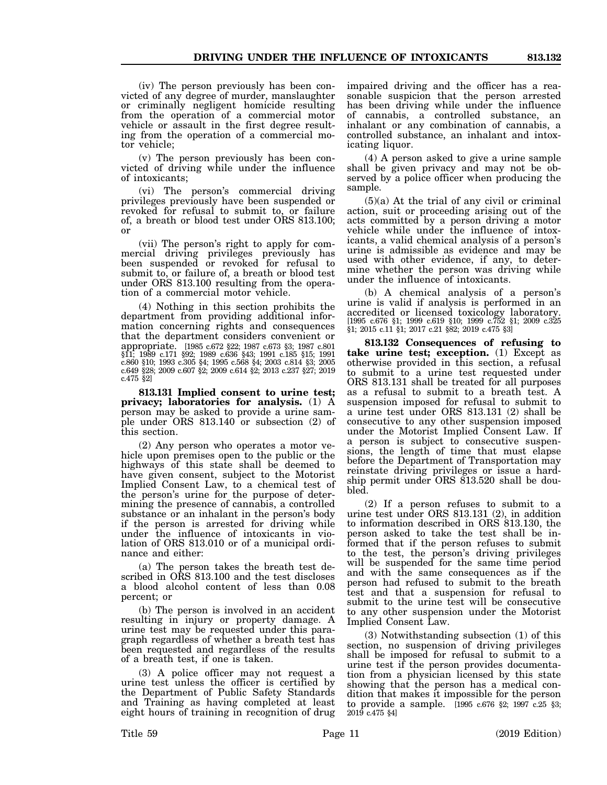(iv) The person previously has been convicted of any degree of murder, manslaughter or criminally negligent homicide resulting from the operation of a commercial motor vehicle or assault in the first degree resulting from the operation of a commercial motor vehicle;

(v) The person previously has been convicted of driving while under the influence of intoxicants;

(vi) The person's commercial driving privileges previously have been suspended or revoked for refusal to submit to, or failure of, a breath or blood test under ORS 813.100; or

(vii) The person's right to apply for commercial driving privileges previously has been suspended or revoked for refusal to submit to, or failure of, a breath or blood test under ORS 813.100 resulting from the operation of a commercial motor vehicle.

(4) Nothing in this section prohibits the department from providing additional information concerning rights and consequences that the department considers convenient or appropriate. [1985 c.672 §22; 1987 c.673 §3; 1987 c.801 §11; 1989 c.171 §92; 1989 c.636 §43; 1991 c.185 §15; 1991 c.860 §10; 1993 c.305 §4; 1995 c.568 §4; 2003 c.814 §3; 2005 c.649 §28; 2009 c.607 §2; 2009 c.614 §2; 2013 c.237 §27; 2019 c.475 §2]

**813.131 Implied consent to urine test; privacy; laboratories for analysis.** (1) A person may be asked to provide a urine sample under ORS 813.140 or subsection (2) of this section.

(2) Any person who operates a motor vehicle upon premises open to the public or the highways of this state shall be deemed to have given consent, subject to the Motorist Implied Consent Law, to a chemical test of the person's urine for the purpose of determining the presence of cannabis, a controlled substance or an inhalant in the person's body if the person is arrested for driving while under the influence of intoxicants in violation of ORS 813.010 or of a municipal ordinance and either:

(a) The person takes the breath test described in ORS 813.100 and the test discloses a blood alcohol content of less than 0.08 percent; or

(b) The person is involved in an accident resulting in injury or property damage. A urine test may be requested under this paragraph regardless of whether a breath test has been requested and regardless of the results of a breath test, if one is taken.

(3) A police officer may not request a urine test unless the officer is certified by the Department of Public Safety Standards and Training as having completed at least eight hours of training in recognition of drug impaired driving and the officer has a reasonable suspicion that the person arrested has been driving while under the influence of cannabis, a controlled substance, an inhalant or any combination of cannabis, a controlled substance, an inhalant and intoxicating liquor.

(4) A person asked to give a urine sample shall be given privacy and may not be observed by a police officer when producing the sample.

 $(5)(a)$  At the trial of any civil or criminal action, suit or proceeding arising out of the acts committed by a person driving a motor vehicle while under the influence of intoxicants, a valid chemical analysis of a person's urine is admissible as evidence and may be used with other evidence, if any, to determine whether the person was driving while under the influence of intoxicants.

(b) A chemical analysis of a person's urine is valid if analysis is performed in an accredited or licensed toxicology laboratory. [1995 c.676 §1; 1999 c.619 §10; 1999 c.752 §1; 2009 c.325 §1; 2015 c.11 §1; 2017 c.21 §82; 2019 c.475 §3]

**813.132 Consequences of refusing to take urine test; exception.** (1) Except as otherwise provided in this section, a refusal to submit to a urine test requested under ORS 813.131 shall be treated for all purposes as a refusal to submit to a breath test. A suspension imposed for refusal to submit to a urine test under ORS 813.131 (2) shall be consecutive to any other suspension imposed under the Motorist Implied Consent Law. If a person is subject to consecutive suspensions, the length of time that must elapse before the Department of Transportation may reinstate driving privileges or issue a hardship permit under ORS 813.520 shall be doubled.

(2) If a person refuses to submit to a urine test under ORS 813.131 (2), in addition to information described in ORS 813.130, the person asked to take the test shall be informed that if the person refuses to submit to the test, the person's driving privileges will be suspended for the same time period and with the same consequences as if the person had refused to submit to the breath test and that a suspension for refusal to submit to the urine test will be consecutive to any other suspension under the Motorist Implied Consent Law.

(3) Notwithstanding subsection (1) of this section, no suspension of driving privileges shall be imposed for refusal to submit to a urine test if the person provides documentation from a physician licensed by this state showing that the person has a medical condition that makes it impossible for the person to provide a sample. [1995 c.676 §2; 1997 c.25 §3; 2019 c.475 §4]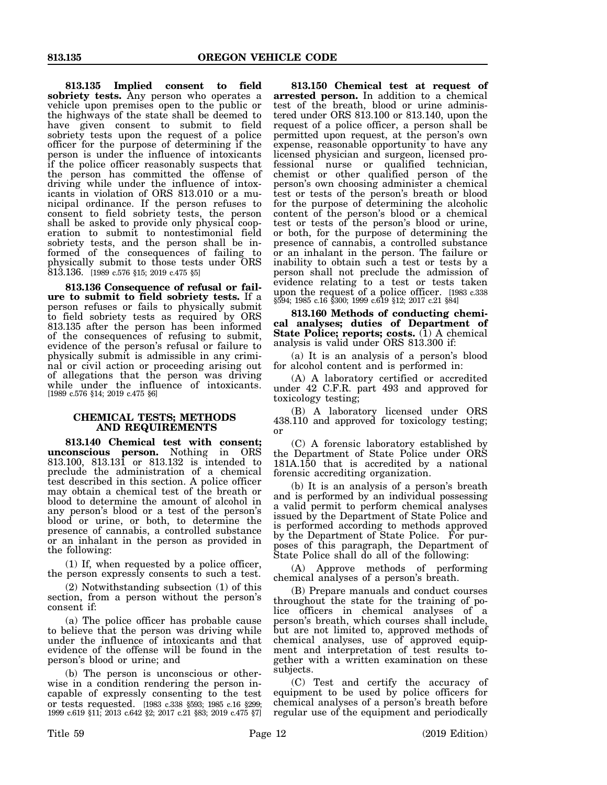**813.135 Implied consent to field sobriety tests.** Any person who operates a vehicle upon premises open to the public or the highways of the state shall be deemed to have given consent to submit to field sobriety tests upon the request of a police officer for the purpose of determining if the person is under the influence of intoxicants if the police officer reasonably suspects that the person has committed the offense of driving while under the influence of intoxicants in violation of ORS 813.010 or a municipal ordinance. If the person refuses to consent to field sobriety tests, the person shall be asked to provide only physical cooperation to submit to nontestimonial field sobriety tests, and the person shall be informed of the consequences of failing to physically submit to those tests under ORS 813.136. [1989 c.576 §15; 2019 c.475 §5]

**813.136 Consequence of refusal or failure to submit to field sobriety tests.** If a person refuses or fails to physically submit to field sobriety tests as required by ORS 813.135 after the person has been informed of the consequences of refusing to submit, evidence of the person's refusal or failure to physically submit is admissible in any criminal or civil action or proceeding arising out of allegations that the person was driving while under the influence of intoxicants. [1989 c.576 §14; 2019 c.475 §6]

## **CHEMICAL TESTS; METHODS AND REQUIREMENTS**

**813.140 Chemical test with consent; unconscious person.** Nothing in ORS 813.100, 813.131 or 813.132 is intended to preclude the administration of a chemical test described in this section. A police officer may obtain a chemical test of the breath or blood to determine the amount of alcohol in any person's blood or a test of the person's blood or urine, or both, to determine the presence of cannabis, a controlled substance or an inhalant in the person as provided in the following:

(1) If, when requested by a police officer, the person expressly consents to such a test.

(2) Notwithstanding subsection (1) of this section, from a person without the person's consent if:

(a) The police officer has probable cause to believe that the person was driving while under the influence of intoxicants and that evidence of the offense will be found in the person's blood or urine; and

(b) The person is unconscious or otherwise in a condition rendering the person incapable of expressly consenting to the test or tests requested. [1983 c.338 §593; 1985 c.16 §299; 1999 c.619 §11; 2013 c.642 §2; 2017 c.21 §83; 2019 c.475 §7]

**813.150 Chemical test at request of arrested person.** In addition to a chemical test of the breath, blood or urine administered under ORS 813.100 or 813.140, upon the request of a police officer, a person shall be permitted upon request, at the person's own expense, reasonable opportunity to have any licensed physician and surgeon, licensed professional nurse or qualified technician, chemist or other qualified person of the person's own choosing administer a chemical test or tests of the person's breath or blood for the purpose of determining the alcoholic content of the person's blood or a chemical test or tests of the person's blood or urine, or both, for the purpose of determining the presence of cannabis, a controlled substance or an inhalant in the person. The failure or inability to obtain such a test or tests by a person shall not preclude the admission of evidence relating to a test or tests taken upon the request of a police officer. [1983 c.338 §594; 1985 c.16 §300; 1999 c.619 §12; 2017 c.21 §84]

**813.160 Methods of conducting chemical analyses; duties of Department of State Police; reports; costs.** (1) A chemical analysis is valid under ORS 813.300 if:

(a) It is an analysis of a person's blood for alcohol content and is performed in:

(A) A laboratory certified or accredited under 42 C.F.R. part 493 and approved for toxicology testing;

(B) A laboratory licensed under ORS 438.110 and approved for toxicology testing; or

(C) A forensic laboratory established by the Department of State Police under ORS 181A.150 that is accredited by a national forensic accrediting organization.

(b) It is an analysis of a person's breath and is performed by an individual possessing a valid permit to perform chemical analyses issued by the Department of State Police and is performed according to methods approved by the Department of State Police. For purposes of this paragraph, the Department of State Police shall do all of the following:

(A) Approve methods of performing chemical analyses of a person's breath.

(B) Prepare manuals and conduct courses throughout the state for the training of police officers in chemical analyses of a person's breath, which courses shall include, but are not limited to, approved methods of chemical analyses, use of approved equipment and interpretation of test results together with a written examination on these subjects.

(C) Test and certify the accuracy of equipment to be used by police officers for chemical analyses of a person's breath before regular use of the equipment and periodically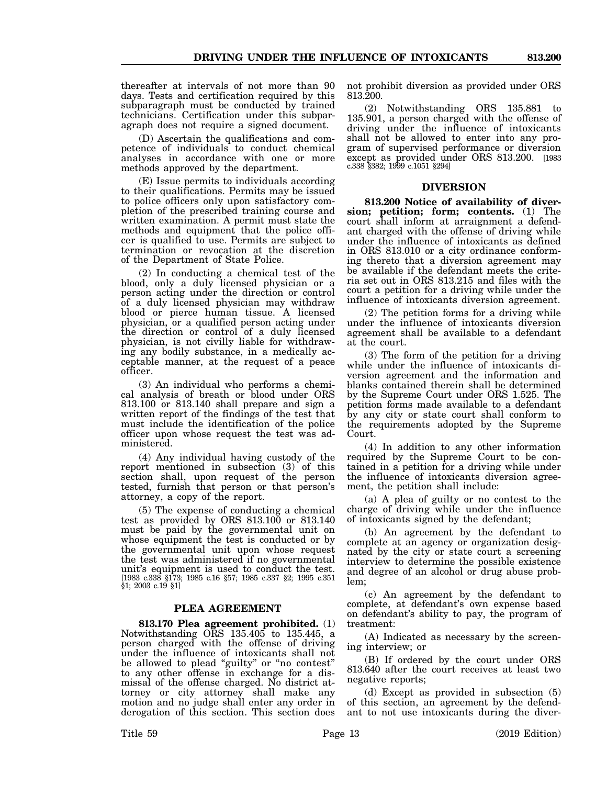thereafter at intervals of not more than 90 days. Tests and certification required by this subparagraph must be conducted by trained technicians. Certification under this subparagraph does not require a signed document.

(D) Ascertain the qualifications and competence of individuals to conduct chemical analyses in accordance with one or more methods approved by the department.

(E) Issue permits to individuals according to their qualifications. Permits may be issued to police officers only upon satisfactory completion of the prescribed training course and written examination. A permit must state the methods and equipment that the police officer is qualified to use. Permits are subject to termination or revocation at the discretion of the Department of State Police.

(2) In conducting a chemical test of the blood, only a duly licensed physician or a person acting under the direction or control of a duly licensed physician may withdraw blood or pierce human tissue. A licensed physician, or a qualified person acting under the direction or control of a duly licensed physician, is not civilly liable for withdrawing any bodily substance, in a medically acceptable manner, at the request of a peace officer.

(3) An individual who performs a chemical analysis of breath or blood under ORS 813.100 or 813.140 shall prepare and sign a written report of the findings of the test that must include the identification of the police officer upon whose request the test was administered.

(4) Any individual having custody of the report mentioned in subsection (3) of this section shall, upon request of the person tested, furnish that person or that person's attorney, a copy of the report.

(5) The expense of conducting a chemical test as provided by ORS 813.100 or 813.140 must be paid by the governmental unit on whose equipment the test is conducted or by the governmental unit upon whose request the test was administered if no governmental unit's equipment is used to conduct the test. [1983 c.338 §173; 1985 c.16 §57; 1985 c.337 §2; 1995 c.351 §1; 2003 c.19 §1]

#### **PLEA AGREEMENT**

**813.170 Plea agreement prohibited.** (1) Notwithstanding ORS 135.405 to 135.445, a person charged with the offense of driving under the influence of intoxicants shall not be allowed to plead "guilty" or "no contest" to any other offense in exchange for a dismissal of the offense charged. No district attorney or city attorney shall make any motion and no judge shall enter any order in derogation of this section. This section does not prohibit diversion as provided under ORS 813.200.

(2) Notwithstanding ORS 135.881 to 135.901, a person charged with the offense of driving under the influence of intoxicants shall not be allowed to enter into any program of supervised performance or diversion except as provided under ORS 813.200. [1983 c.338 §382; 1999 c.1051 §294]

#### **DIVERSION**

**813.200 Notice of availability of diversion; petition; form; contents.** (1) The court shall inform at arraignment a defendant charged with the offense of driving while under the influence of intoxicants as defined in ORS 813.010 or a city ordinance conforming thereto that a diversion agreement may be available if the defendant meets the criteria set out in ORS 813.215 and files with the court a petition for a driving while under the influence of intoxicants diversion agreement.

(2) The petition forms for a driving while under the influence of intoxicants diversion agreement shall be available to a defendant at the court.

(3) The form of the petition for a driving while under the influence of intoxicants diversion agreement and the information and blanks contained therein shall be determined by the Supreme Court under ORS 1.525. The petition forms made available to a defendant by any city or state court shall conform to the requirements adopted by the Supreme Court.

(4) In addition to any other information required by the Supreme Court to be contained in a petition for a driving while under the influence of intoxicants diversion agreement, the petition shall include:

(a) A plea of guilty or no contest to the charge of driving while under the influence of intoxicants signed by the defendant;

(b) An agreement by the defendant to complete at an agency or organization designated by the city or state court a screening interview to determine the possible existence and degree of an alcohol or drug abuse problem;

(c) An agreement by the defendant to complete, at defendant's own expense based on defendant's ability to pay, the program of treatment:

(A) Indicated as necessary by the screening interview; or

(B) If ordered by the court under ORS 813.640 after the court receives at least two negative reports;

(d) Except as provided in subsection (5) of this section, an agreement by the defendant to not use intoxicants during the diver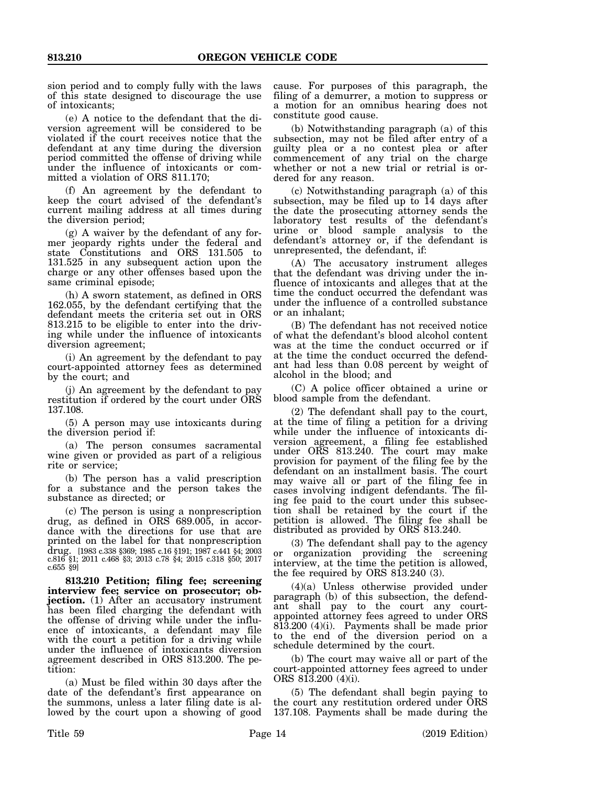sion period and to comply fully with the laws of this state designed to discourage the use of intoxicants;

(e) A notice to the defendant that the diversion agreement will be considered to be violated if the court receives notice that the defendant at any time during the diversion period committed the offense of driving while under the influence of intoxicants or committed a violation of ORS 811.170;

(f) An agreement by the defendant to keep the court advised of the defendant's current mailing address at all times during the diversion period;

(g) A waiver by the defendant of any former jeopardy rights under the federal and state Constitutions and ORS 131.505 to 131.525 in any subsequent action upon the charge or any other offenses based upon the same criminal episode;

(h) A sworn statement, as defined in ORS 162.055, by the defendant certifying that the defendant meets the criteria set out in ORS 813.215 to be eligible to enter into the driving while under the influence of intoxicants diversion agreement;

(i) An agreement by the defendant to pay court-appointed attorney fees as determined by the court; and

(j) An agreement by the defendant to pay restitution if ordered by the court under ORS 137.108.

(5) A person may use intoxicants during the diversion period if:

(a) The person consumes sacramental wine given or provided as part of a religious rite or service;

(b) The person has a valid prescription for a substance and the person takes the substance as directed; or

(c) The person is using a nonprescription drug, as defined in ORS 689.005, in accordance with the directions for use that are printed on the label for that nonprescription drug. [1983 c.338 §369; 1985 c.16 §191; 1987 c.441 §4; 2003 c.816 §1; 2011 c.468 §3; 2013 c.78 §4; 2015 c.318 §50; 2017 c.655 §9]

**813.210 Petition; filing fee; screening interview fee; service on prosecutor; objection.** (1) After an accusatory instrument has been filed charging the defendant with the offense of driving while under the influence of intoxicants, a defendant may file with the court a petition for a driving while under the influence of intoxicants diversion agreement described in ORS 813.200. The petition:

(a) Must be filed within 30 days after the date of the defendant's first appearance on the summons, unless a later filing date is allowed by the court upon a showing of good

cause. For purposes of this paragraph, the filing of a demurrer, a motion to suppress or a motion for an omnibus hearing does not constitute good cause.

(b) Notwithstanding paragraph (a) of this subsection, may not be filed after entry of a guilty plea or a no contest plea or after commencement of any trial on the charge whether or not a new trial or retrial is ordered for any reason.

(c) Notwithstanding paragraph (a) of this subsection, may be filed up to 14 days after the date the prosecuting attorney sends the laboratory test results of the defendant's urine or blood sample analysis to the defendant's attorney or, if the defendant is unrepresented, the defendant, if:

(A) The accusatory instrument alleges that the defendant was driving under the influence of intoxicants and alleges that at the time the conduct occurred the defendant was under the influence of a controlled substance or an inhalant;

(B) The defendant has not received notice of what the defendant's blood alcohol content was at the time the conduct occurred or if at the time the conduct occurred the defendant had less than 0.08 percent by weight of alcohol in the blood; and

(C) A police officer obtained a urine or blood sample from the defendant.

(2) The defendant shall pay to the court, at the time of filing a petition for a driving while under the influence of intoxicants diversion agreement, a filing fee established under ORS 813.240. The court may make provision for payment of the filing fee by the defendant on an installment basis. The court may waive all or part of the filing fee in cases involving indigent defendants. The filing fee paid to the court under this subsection shall be retained by the court if the petition is allowed. The filing fee shall be distributed as provided by ORS 813.240.

(3) The defendant shall pay to the agency or organization providing the screening interview, at the time the petition is allowed, the fee required by ORS 813.240 (3).

(4)(a) Unless otherwise provided under paragraph (b) of this subsection, the defendant shall pay to the court any courtappointed attorney fees agreed to under ORS 813.200 (4)(i). Payments shall be made prior to the end of the diversion period on a schedule determined by the court.

(b) The court may waive all or part of the court-appointed attorney fees agreed to under ORS 813.200 (4)(i).

(5) The defendant shall begin paying to the court any restitution ordered under ORS 137.108. Payments shall be made during the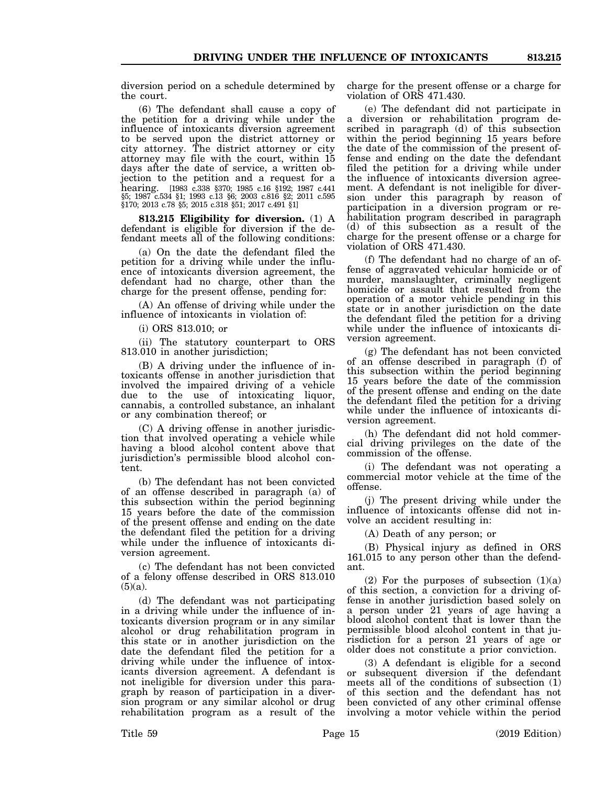diversion period on a schedule determined by the court.

(6) The defendant shall cause a copy of the petition for a driving while under the influence of intoxicants diversion agreement to be served upon the district attorney or city attorney. The district attorney or city attorney may file with the court, within 15 days after the date of service, a written objection to the petition and a request for a hearing. [1983 c.338 §370; 1985 c.16 §192; 1987 c.441 §5; 1987 c.534 §1; 1993 c.13 §6; 2003 c.816 §2; 2011 c.595 §170; 2013 c.78 §5; 2015 c.318 §51; 2017 c.491 §1]

**813.215 Eligibility for diversion.** (1) A defendant is eligible for diversion if the defendant meets all of the following conditions:

(a) On the date the defendant filed the petition for a driving while under the influence of intoxicants diversion agreement, the defendant had no charge, other than the charge for the present offense, pending for:

(A) An offense of driving while under the influence of intoxicants in violation of:

(i) ORS 813.010; or

(ii) The statutory counterpart to ORS 813.010 in another jurisdiction;

(B) A driving under the influence of intoxicants offense in another jurisdiction that involved the impaired driving of a vehicle due to the use of intoxicating liquor, cannabis, a controlled substance, an inhalant or any combination thereof; or

(C) A driving offense in another jurisdiction that involved operating a vehicle while having a blood alcohol content above that jurisdiction's permissible blood alcohol content.

(b) The defendant has not been convicted of an offense described in paragraph (a) of this subsection within the period beginning 15 years before the date of the commission of the present offense and ending on the date the defendant filed the petition for a driving while under the influence of intoxicants diversion agreement.

(c) The defendant has not been convicted of a felony offense described in ORS 813.010  $(5)(a)$ .

(d) The defendant was not participating in a driving while under the influence of intoxicants diversion program or in any similar alcohol or drug rehabilitation program in this state or in another jurisdiction on the date the defendant filed the petition for a driving while under the influence of intoxicants diversion agreement. A defendant is not ineligible for diversion under this paragraph by reason of participation in a diversion program or any similar alcohol or drug rehabilitation program as a result of the

charge for the present offense or a charge for violation of ORS 471.430.

(e) The defendant did not participate in a diversion or rehabilitation program described in paragraph (d) of this subsection within the period beginning 15 years before the date of the commission of the present offense and ending on the date the defendant filed the petition for a driving while under the influence of intoxicants diversion agreement. A defendant is not ineligible for diversion under this paragraph by reason of participation in a diversion program or rehabilitation program described in paragraph (d) of this subsection as a result of the charge for the present offense or a charge for violation of ORS 471.430.

(f) The defendant had no charge of an offense of aggravated vehicular homicide or of murder, manslaughter, criminally negligent homicide or assault that resulted from the operation of a motor vehicle pending in this state or in another jurisdiction on the date the defendant filed the petition for a driving while under the influence of intoxicants diversion agreement.

(g) The defendant has not been convicted of an offense described in paragraph (f) of this subsection within the period beginning 15 years before the date of the commission of the present offense and ending on the date the defendant filed the petition for a driving while under the influence of intoxicants diversion agreement.

(h) The defendant did not hold commercial driving privileges on the date of the commission of the offense.

(i) The defendant was not operating a commercial motor vehicle at the time of the offense.

(j) The present driving while under the influence of intoxicants offense did not involve an accident resulting in:

(A) Death of any person; or

(B) Physical injury as defined in ORS 161.015 to any person other than the defendant.

(2) For the purposes of subsection  $(1)(a)$ of this section, a conviction for a driving offense in another jurisdiction based solely on a person under 21 years of age having a blood alcohol content that is lower than the permissible blood alcohol content in that jurisdiction for a person 21 years of age or older does not constitute a prior conviction.

(3) A defendant is eligible for a second or subsequent diversion if the defendant meets all of the conditions of subsection (1) of this section and the defendant has not been convicted of any other criminal offense involving a motor vehicle within the period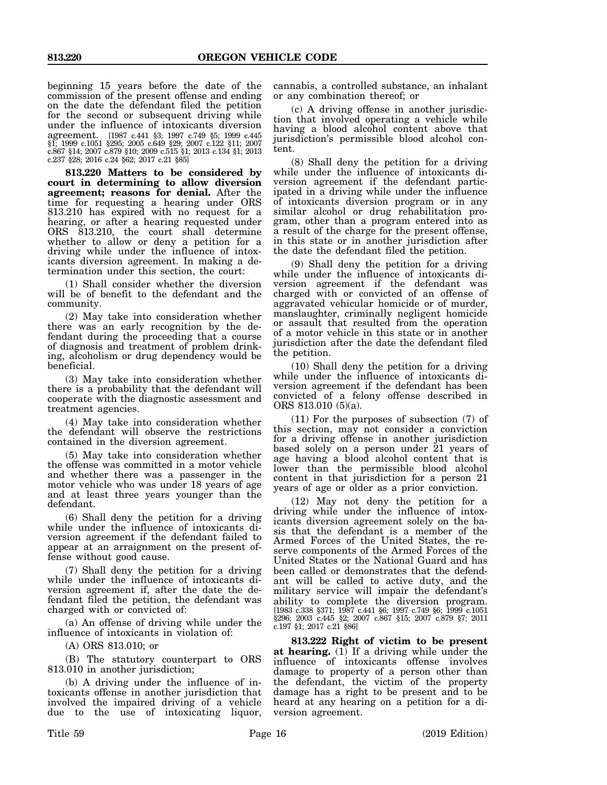beginning 15 years before the date of the commission of the present offense and ending on the date the defendant filed the petition for the second or subsequent driving while under the influence of intoxicants diversion agreement. [1987 c.441 §3; 1997 c.749 §5; 1999 c.445 §1; 1999 c.1051 §295; 2005 c.649 §29; 2007 c.122 §11; 2007 c.867 §14; 2007 c.879 §10; 2009 c.515 §1; 2013 c.134 §1; 2013 c.237 §28; 2016 c.24 §62; 2017 c.21 §85]

**813.220 Matters to be considered by court in determining to allow diversion agreement; reasons for denial.** After the time for requesting a hearing under ORS 813.210 has expired with no request for a hearing, or after a hearing requested under ORS 813.210, the court shall determine whether to allow or deny a petition for a driving while under the influence of intoxicants diversion agreement. In making a determination under this section, the court:

(1) Shall consider whether the diversion will be of benefit to the defendant and the community.

(2) May take into consideration whether there was an early recognition by the defendant during the proceeding that a course of diagnosis and treatment of problem drinking, alcoholism or drug dependency would be beneficial.

(3) May take into consideration whether there is a probability that the defendant will cooperate with the diagnostic assessment and treatment agencies.

(4) May take into consideration whether the defendant will observe the restrictions contained in the diversion agreement.

(5) May take into consideration whether the offense was committed in a motor vehicle and whether there was a passenger in the motor vehicle who was under 18 years of age and at least three years younger than the defendant.

(6) Shall deny the petition for a driving while under the influence of intoxicants diversion agreement if the defendant failed to appear at an arraignment on the present offense without good cause.

(7) Shall deny the petition for a driving while under the influence of intoxicants diversion agreement if, after the date the defendant filed the petition, the defendant was charged with or convicted of:

(a) An offense of driving while under the influence of intoxicants in violation of:

(A) ORS 813.010; or

(B) The statutory counterpart to ORS 813.010 in another jurisdiction;

(b) A driving under the influence of intoxicants offense in another jurisdiction that involved the impaired driving of a vehicle due to the use of intoxicating liquor,

cannabis, a controlled substance, an inhalant or any combination thereof; or

(c) A driving offense in another jurisdiction that involved operating a vehicle while having a blood alcohol content above that jurisdiction's permissible blood alcohol content.

(8) Shall deny the petition for a driving while under the influence of intoxicants diversion agreement if the defendant participated in a driving while under the influence of intoxicants diversion program or in any similar alcohol or drug rehabilitation program, other than a program entered into as a result of the charge for the present offense, in this state or in another jurisdiction after the date the defendant filed the petition.

(9) Shall deny the petition for a driving while under the influence of intoxicants diversion agreement if the defendant was charged with or convicted of an offense of aggravated vehicular homicide or of murder, manslaughter, criminally negligent homicide or assault that resulted from the operation of a motor vehicle in this state or in another jurisdiction after the date the defendant filed the petition.

(10) Shall deny the petition for a driving while under the influence of intoxicants diversion agreement if the defendant has been convicted of a felony offense described in ORS 813.010 (5)(a).

(11) For the purposes of subsection (7) of this section, may not consider a conviction for a driving offense in another jurisdiction based solely on a person under 21 years of age having a blood alcohol content that is lower than the permissible blood alcohol content in that jurisdiction for a person 21 years of age or older as a prior conviction.

(12) May not deny the petition for a driving while under the influence of intoxicants diversion agreement solely on the basis that the defendant is a member of the Armed Forces of the United States, the reserve components of the Armed Forces of the United States or the National Guard and has been called or demonstrates that the defendant will be called to active duty, and the military service will impair the defendant's ability to complete the diversion program. [1983 c.338 §371; 1987 c.441 §6; 1997 c.749 §6; 1999 c.1051 §296; 2003 c.445 §2; 2007 c.867 §15; 2007 c.879 §7; 2011 c.197 §1; 2017 c.21 §86]

**813.222 Right of victim to be present at hearing.**  $(1)$  If a driving while under the influence of intoxicants offense involves damage to property of a person other than the defendant, the victim of the property damage has a right to be present and to be heard at any hearing on a petition for a diversion agreement.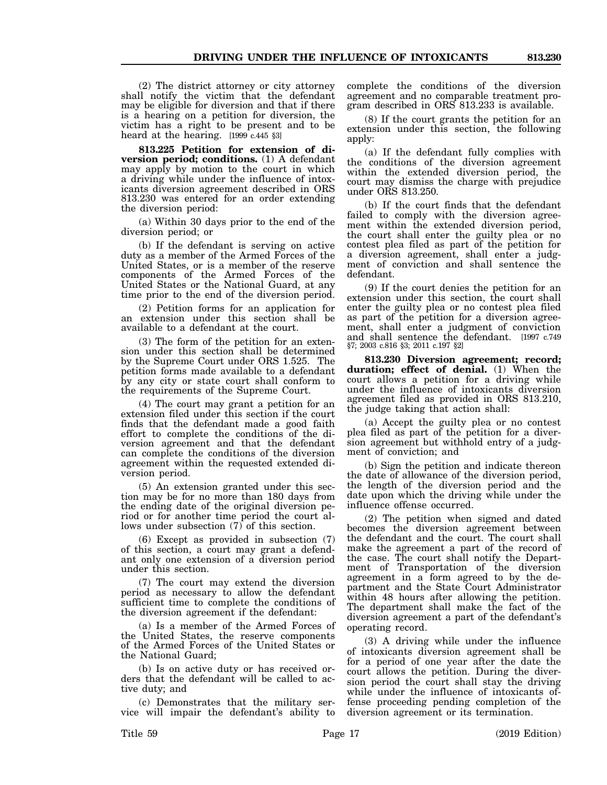(2) The district attorney or city attorney shall notify the victim that the defendant may be eligible for diversion and that if there is a hearing on a petition for diversion, the victim has a right to be present and to be heard at the hearing. [1999 c.445 §3]

**813.225 Petition for extension of diversion period; conditions.** (1) A defendant may apply by motion to the court in which a driving while under the influence of intoxicants diversion agreement described in ORS 813.230 was entered for an order extending the diversion period:

(a) Within 30 days prior to the end of the diversion period; or

(b) If the defendant is serving on active duty as a member of the Armed Forces of the United States, or is a member of the reserve components of the Armed Forces of the United States or the National Guard, at any time prior to the end of the diversion period.

(2) Petition forms for an application for an extension under this section shall be available to a defendant at the court.

(3) The form of the petition for an extension under this section shall be determined by the Supreme Court under ORS 1.525. The petition forms made available to a defendant by any city or state court shall conform to the requirements of the Supreme Court.

(4) The court may grant a petition for an extension filed under this section if the court finds that the defendant made a good faith effort to complete the conditions of the diversion agreement and that the defendant can complete the conditions of the diversion agreement within the requested extended diversion period.

(5) An extension granted under this section may be for no more than 180 days from the ending date of the original diversion period or for another time period the court allows under subsection  $(7)$  of this section.

(6) Except as provided in subsection (7) of this section, a court may grant a defendant only one extension of a diversion period under this section.

(7) The court may extend the diversion period as necessary to allow the defendant sufficient time to complete the conditions of the diversion agreement if the defendant:

(a) Is a member of the Armed Forces of the United States, the reserve components of the Armed Forces of the United States or the National Guard;

(b) Is on active duty or has received orders that the defendant will be called to active duty; and

(c) Demonstrates that the military service will impair the defendant's ability to complete the conditions of the diversion agreement and no comparable treatment program described in ORS 813.233 is available.

(8) If the court grants the petition for an extension under this section, the following apply:

(a) If the defendant fully complies with the conditions of the diversion agreement within the extended diversion period, the court may dismiss the charge with prejudice under ORS 813.250.

(b) If the court finds that the defendant failed to comply with the diversion agreement within the extended diversion period, the court shall enter the guilty plea or no contest plea filed as part of the petition for a diversion agreement, shall enter a judgment of conviction and shall sentence the defendant.

(9) If the court denies the petition for an extension under this section, the court shall enter the guilty plea or no contest plea filed as part of the petition for a diversion agreement, shall enter a judgment of conviction and shall sentence the defendant. [1997 c.749 §7; 2003 c.816 §3; 2011 c.197 §2]

**813.230 Diversion agreement; record; duration; effect of denial.** (1) When the court allows a petition for a driving while under the influence of intoxicants diversion agreement filed as provided in ORS 813.210, the judge taking that action shall:

(a) Accept the guilty plea or no contest plea filed as part of the petition for a diversion agreement but withhold entry of a judgment of conviction; and

(b) Sign the petition and indicate thereon the date of allowance of the diversion period, the length of the diversion period and the date upon which the driving while under the influence offense occurred.

(2) The petition when signed and dated becomes the diversion agreement between the defendant and the court. The court shall make the agreement a part of the record of the case. The court shall notify the Department of Transportation of the diversion agreement in a form agreed to by the department and the State Court Administrator within 48 hours after allowing the petition. The department shall make the fact of the diversion agreement a part of the defendant's operating record.

(3) A driving while under the influence of intoxicants diversion agreement shall be for a period of one year after the date the court allows the petition. During the diversion period the court shall stay the driving while under the influence of intoxicants offense proceeding pending completion of the diversion agreement or its termination.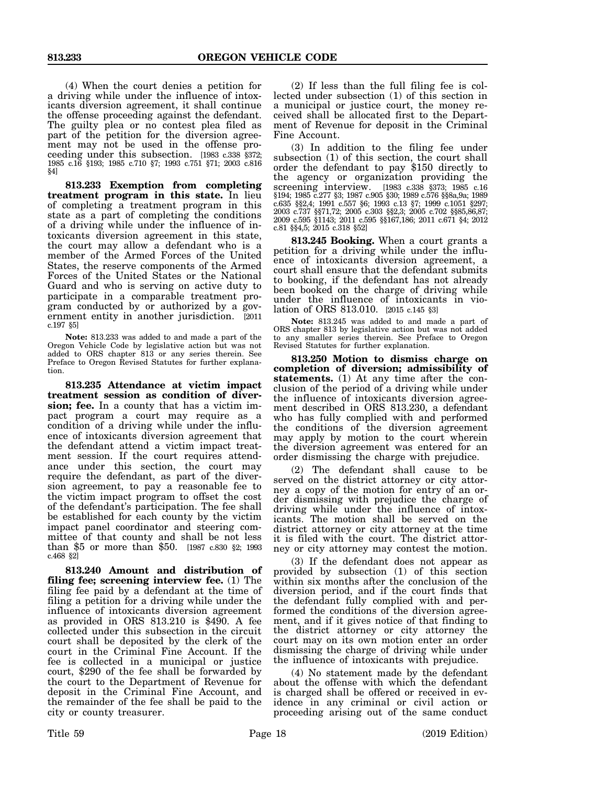(4) When the court denies a petition for a driving while under the influence of intoxicants diversion agreement, it shall continue the offense proceeding against the defendant. The guilty plea or no contest plea filed as part of the petition for the diversion agreement may not be used in the offense proceeding under this subsection. [1983 c.338 §372; 1985 c.16 §193; 1985 c.710 §7; 1993 c.751 §71; 2003 c.816 §4]

**813.233 Exemption from completing treatment program in this state.** In lieu of completing a treatment program in this state as a part of completing the conditions of a driving while under the influence of intoxicants diversion agreement in this state, the court may allow a defendant who is a member of the Armed Forces of the United States, the reserve components of the Armed Forces of the United States or the National Guard and who is serving on active duty to participate in a comparable treatment program conducted by or authorized by a government entity in another jurisdiction. [2011 c.197 §5]

**Note:** 813.233 was added to and made a part of the Oregon Vehicle Code by legislative action but was not added to ORS chapter 813 or any series therein. See Preface to Oregon Revised Statutes for further explanation.

**813.235 Attendance at victim impact treatment session as condition of diversion; fee.** In a county that has a victim impact program a court may require as a condition of a driving while under the influence of intoxicants diversion agreement that the defendant attend a victim impact treatment session. If the court requires attendance under this section, the court may require the defendant, as part of the diversion agreement, to pay a reasonable fee to the victim impact program to offset the cost of the defendant's participation. The fee shall be established for each county by the victim impact panel coordinator and steering committee of that county and shall be not less than \$5 or more than \$50. [1987 c.830 §2; 1993 c.468 §2]

**813.240 Amount and distribution of filing fee; screening interview fee.** (1) The filing fee paid by a defendant at the time of filing a petition for a driving while under the influence of intoxicants diversion agreement as provided in ORS 813.210 is \$490. A fee collected under this subsection in the circuit court shall be deposited by the clerk of the court in the Criminal Fine Account. If the fee is collected in a municipal or justice court, \$290 of the fee shall be forwarded by the court to the Department of Revenue for deposit in the Criminal Fine Account, and the remainder of the fee shall be paid to the city or county treasurer.

(2) If less than the full filing fee is collected under subsection (1) of this section in a municipal or justice court, the money received shall be allocated first to the Department of Revenue for deposit in the Criminal Fine Account.

(3) In addition to the filing fee under<br>subsection (1) of this section, the court shall order the defendant to pay \$150 directly to the agency or organization providing the screening interview. [1983 c.338 §373; 1985 c.16 §194; 1985 c.277 §3; 1987 c.905 §30; 1989 c.576 §§8a,9a; 1989 c.635 §§2,4; 1991 c.557 §6; 1993 c.13 §7; 1999 c.1051 §297; 2003 c.737 §§71,72; 2005 c.303 §§2,3; 2005 c.702 §§85,86,87; 2009 c.595 §1143; 2011 c.595 §§167,186; 2011 c.671 §4; 2012 c.81 §§4,5; 2015 c.318 §52]

**813.245 Booking.** When a court grants a petition for a driving while under the influence of intoxicants diversion agreement, a court shall ensure that the defendant submits to booking, if the defendant has not already been booked on the charge of driving while under the influence of intoxicants in violation of ORS 813.010. [2015 c.145 §3]

**Note:** 813.245 was added to and made a part of ORS chapter 813 by legislative action but was not added to any smaller series therein. See Preface to Oregon Revised Statutes for further explanation.

**813.250 Motion to dismiss charge on completion of diversion; admissibility of statements.** (1) At any time after the conclusion of the period of a driving while under the influence of intoxicants diversion agreement described in ORS 813.230, a defendant who has fully complied with and performed the conditions of the diversion agreement may apply by motion to the court wherein the diversion agreement was entered for an order dismissing the charge with prejudice.

(2) The defendant shall cause to be served on the district attorney or city attorney a copy of the motion for entry of an order dismissing with prejudice the charge of driving while under the influence of intoxicants. The motion shall be served on the district attorney or city attorney at the time it is filed with the court. The district attorney or city attorney may contest the motion.

(3) If the defendant does not appear as provided by subsection  $(1)$  of this section within six months after the conclusion of the diversion period, and if the court finds that the defendant fully complied with and performed the conditions of the diversion agreement, and if it gives notice of that finding to the district attorney or city attorney the court may on its own motion enter an order dismissing the charge of driving while under the influence of intoxicants with prejudice.

(4) No statement made by the defendant about the offense with which the defendant is charged shall be offered or received in evidence in any criminal or civil action or proceeding arising out of the same conduct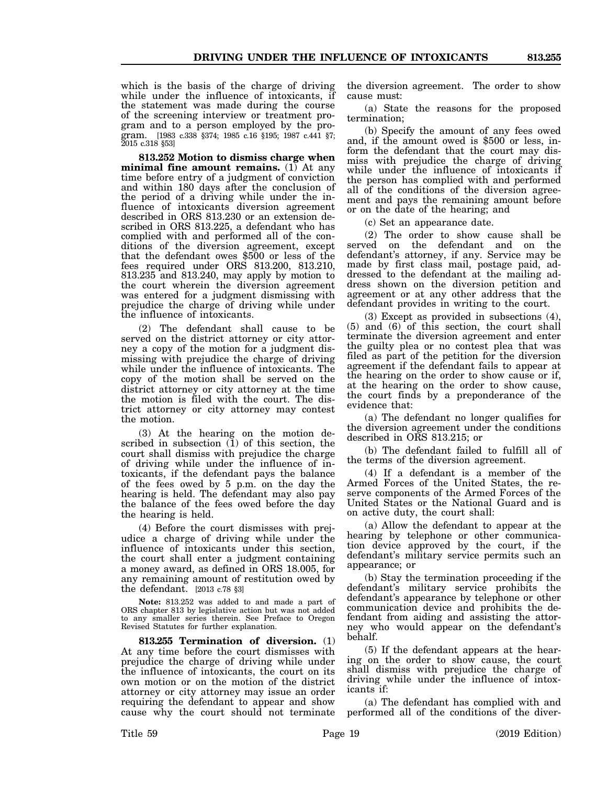which is the basis of the charge of driving while under the influence of intoxicants, if the statement was made during the course of the screening interview or treatment program and to a person employed by the program. [1983 c.338 §374; 1985 c.16 §195; 1987 c.441 §7; 2015 c.318 §53]

**813.252 Motion to dismiss charge when minimal fine amount remains.**  $(1)$  At any time before entry of a judgment of conviction and within 180 days after the conclusion of the period of a driving while under the influence of intoxicants diversion agreement described in ORS 813.230 or an extension described in ORS 813.225, a defendant who has complied with and performed all of the conditions of the diversion agreement, except that the defendant owes \$500 or less of the fees required under ORS 813.200, 813.210, 813.235 and 813.240, may apply by motion to the court wherein the diversion agreement was entered for a judgment dismissing with prejudice the charge of driving while under the influence of intoxicants.

(2) The defendant shall cause to be served on the district attorney or city attorney a copy of the motion for a judgment dismissing with prejudice the charge of driving while under the influence of intoxicants. The copy of the motion shall be served on the district attorney or city attorney at the time the motion is filed with the court. The district attorney or city attorney may contest the motion.

(3) At the hearing on the motion described in subsection (1) of this section, the court shall dismiss with prejudice the charge of driving while under the influence of intoxicants, if the defendant pays the balance of the fees owed by 5 p.m. on the day the hearing is held. The defendant may also pay the balance of the fees owed before the day the hearing is held.

(4) Before the court dismisses with prejudice a charge of driving while under the influence of intoxicants under this section, the court shall enter a judgment containing a money award, as defined in ORS 18.005, for any remaining amount of restitution owed by the defendant. [2013 c.78 §3]

**Note:** 813.252 was added to and made a part of ORS chapter 813 by legislative action but was not added to any smaller series therein. See Preface to Oregon Revised Statutes for further explanation.

**813.255 Termination of diversion.** (1) At any time before the court dismisses with prejudice the charge of driving while under the influence of intoxicants, the court on its own motion or on the motion of the district attorney or city attorney may issue an order requiring the defendant to appear and show cause why the court should not terminate

the diversion agreement. The order to show cause must:

(a) State the reasons for the proposed termination;

(b) Specify the amount of any fees owed and, if the amount owed is \$500 or less, inform the defendant that the court may dismiss with prejudice the charge of driving while under the influence of intoxicants if the person has complied with and performed all of the conditions of the diversion agreement and pays the remaining amount before or on the date of the hearing; and

(c) Set an appearance date.

(2) The order to show cause shall be served on the defendant and on the defendant's attorney, if any. Service may be made by first class mail, postage paid, addressed to the defendant at the mailing address shown on the diversion petition and agreement or at any other address that the defendant provides in writing to the court.

(3) Except as provided in subsections (4), (5) and (6) of this section, the court shall terminate the diversion agreement and enter the guilty plea or no contest plea that was filed as part of the petition for the diversion agreement if the defendant fails to appear at the hearing on the order to show cause or if, at the hearing on the order to show cause, the court finds by a preponderance of the evidence that:

(a) The defendant no longer qualifies for the diversion agreement under the conditions described in ORS 813.215; or

(b) The defendant failed to fulfill all of the terms of the diversion agreement.

(4) If a defendant is a member of the Armed Forces of the United States, the reserve components of the Armed Forces of the United States or the National Guard and is on active duty, the court shall:

(a) Allow the defendant to appear at the hearing by telephone or other communication device approved by the court, if the defendant's military service permits such an appearance; or

(b) Stay the termination proceeding if the defendant's military service prohibits the defendant's appearance by telephone or other communication device and prohibits the defendant from aiding and assisting the attorney who would appear on the defendant's behalf.

(5) If the defendant appears at the hearing on the order to show cause, the court shall dismiss with prejudice the charge of driving while under the influence of intoxicants if:

(a) The defendant has complied with and performed all of the conditions of the diver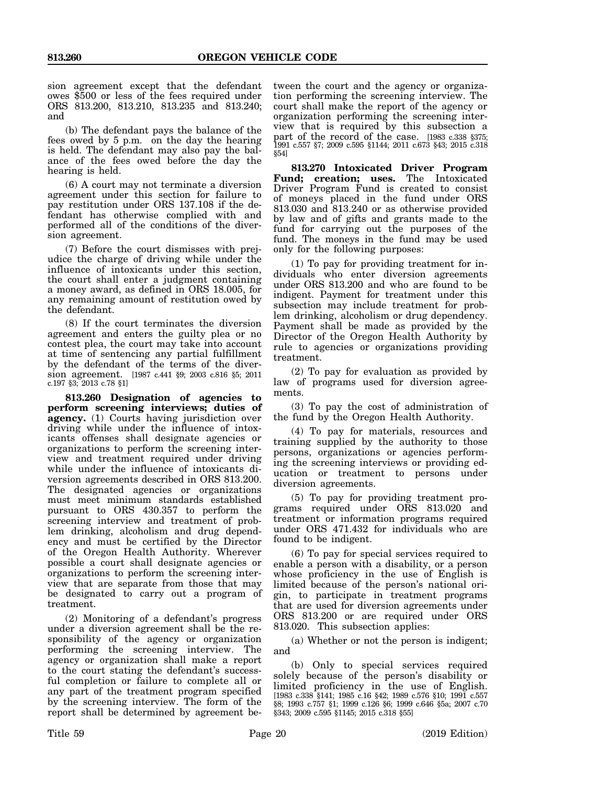sion agreement except that the defendant owes \$500 or less of the fees required under ORS 813.200, 813.210, 813.235 and 813.240; and

(b) The defendant pays the balance of the fees owed by 5 p.m. on the day the hearing is held. The defendant may also pay the balance of the fees owed before the day the hearing is held.

(6) A court may not terminate a diversion agreement under this section for failure to pay restitution under ORS 137.108 if the defendant has otherwise complied with and performed all of the conditions of the diversion agreement.

(7) Before the court dismisses with prejudice the charge of driving while under the influence of intoxicants under this section, the court shall enter a judgment containing a money award, as defined in ORS 18.005, for any remaining amount of restitution owed by the defendant.

(8) If the court terminates the diversion agreement and enters the guilty plea or no contest plea, the court may take into account at time of sentencing any partial fulfillment by the defendant of the terms of the diversion agreement. [1987 c.441 §9; 2003 c.816 §5; 2011 c.197 §3; 2013 c.78 §1]

**813.260 Designation of agencies to perform screening interviews; duties of agency.** (1) Courts having jurisdiction over driving while under the influence of intoxicants offenses shall designate agencies or organizations to perform the screening interview and treatment required under driving while under the influence of intoxicants diversion agreements described in ORS 813.200. The designated agencies or organizations must meet minimum standards established pursuant to ORS 430.357 to perform the screening interview and treatment of problem drinking, alcoholism and drug dependency and must be certified by the Director of the Oregon Health Authority. Wherever possible a court shall designate agencies or organizations to perform the screening interview that are separate from those that may be designated to carry out a program of treatment.

(2) Monitoring of a defendant's progress under a diversion agreement shall be the responsibility of the agency or organization performing the screening interview. The agency or organization shall make a report to the court stating the defendant's successful completion or failure to complete all or any part of the treatment program specified by the screening interview. The form of the report shall be determined by agreement be-

tween the court and the agency or organization performing the screening interview. The court shall make the report of the agency or organization performing the screening interview that is required by this subsection a part of the record of the case. [1983 c.338 §375; 1991 c.557 §7; 2009 c.595 §1144; 2011 c.673 §43; 2015 c.318 §54]

**813.270 Intoxicated Driver Program Fund; creation; uses.** The Intoxicated Driver Program Fund is created to consist of moneys placed in the fund under ORS 813.030 and 813.240 or as otherwise provided by law and of gifts and grants made to the fund for carrying out the purposes of the fund. The moneys in the fund may be used only for the following purposes:

(1) To pay for providing treatment for individuals who enter diversion agreements under ORS 813.200 and who are found to be indigent. Payment for treatment under this subsection may include treatment for problem drinking, alcoholism or drug dependency. Payment shall be made as provided by the Director of the Oregon Health Authority by rule to agencies or organizations providing treatment.

(2) To pay for evaluation as provided by law of programs used for diversion agreements.

(3) To pay the cost of administration of the fund by the Oregon Health Authority.

(4) To pay for materials, resources and training supplied by the authority to those persons, organizations or agencies performing the screening interviews or providing education or treatment to persons under diversion agreements.

(5) To pay for providing treatment programs required under ORS 813.020 and treatment or information programs required under ORS 471.432 for individuals who are found to be indigent.

(6) To pay for special services required to enable a person with a disability, or a person whose proficiency in the use of English is limited because of the person's national origin, to participate in treatment programs that are used for diversion agreements under ORS 813.200 or are required under ORS 813.020. This subsection applies:

(a) Whether or not the person is indigent; and

(b) Only to special services required solely because of the person's disability or limited proficiency in the use of English. [1983 c.338 §141; 1985 c.16 §42; 1989 c.576 §10; 1991 c.557 §8; 1993 c.757 §1; 1999 c.126 §6; 1999 c.646 §5a; 2007 c.70 §343; 2009 c.595 §1145; 2015 c.318 §55]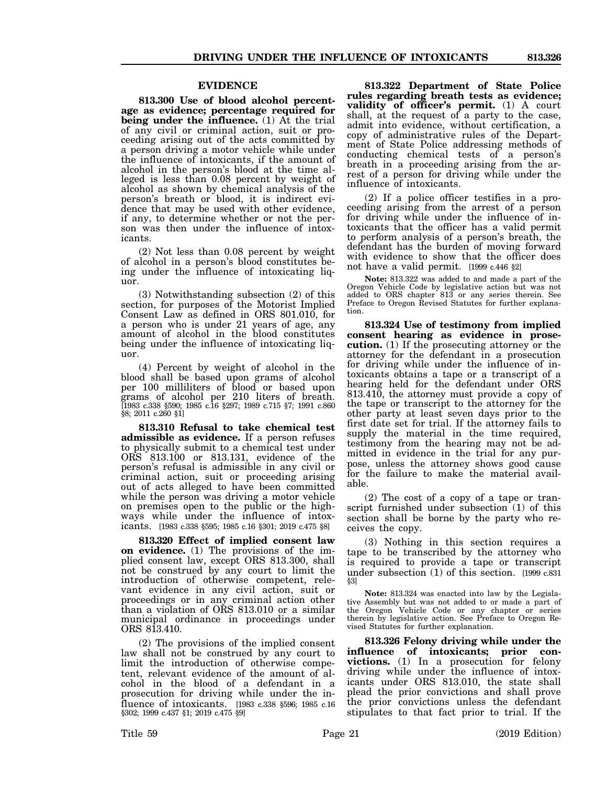### **EVIDENCE**

**813.300 Use of blood alcohol percentage as evidence; percentage required for being under the influence.** (1) At the trial of any civil or criminal action, suit or proceeding arising out of the acts committed by a person driving a motor vehicle while under the influence of intoxicants, if the amount of alcohol in the person's blood at the time alleged is less than 0.08 percent by weight of alcohol as shown by chemical analysis of the person's breath or blood, it is indirect evidence that may be used with other evidence, if any, to determine whether or not the person was then under the influence of intoxicants.

(2) Not less than 0.08 percent by weight of alcohol in a person's blood constitutes being under the influence of intoxicating liquor.

(3) Notwithstanding subsection (2) of this section, for purposes of the Motorist Implied Consent Law as defined in ORS 801.010, for a person who is under 21 years of age, any amount of alcohol in the blood constitutes being under the influence of intoxicating liquor.

(4) Percent by weight of alcohol in the blood shall be based upon grams of alcohol per 100 milliliters of blood or based upon grams of alcohol per 210 liters of breath. [1983 c.338 §590; 1985 c.16 §297; 1989 c.715 §7; 1991 c.860 §8; 2011 c.260 §1]

**813.310 Refusal to take chemical test admissible as evidence.** If a person refuses to physically submit to a chemical test under ORS 813.100 or 813.131, evidence of the person's refusal is admissible in any civil or criminal action, suit or proceeding arising out of acts alleged to have been committed while the person was driving a motor vehicle on premises open to the public or the highways while under the influence of intoxicants. [1983 c.338 §595; 1985 c.16 §301; 2019 c.475 §8]

**813.320 Effect of implied consent law on evidence.** (1) The provisions of the implied consent law, except ORS 813.300, shall not be construed by any court to limit the introduction of otherwise competent, relevant evidence in any civil action, suit or proceedings or in any criminal action other than a violation of ORS 813.010 or a similar municipal ordinance in proceedings under ORS 813.410.

(2) The provisions of the implied consent law shall not be construed by any court to limit the introduction of otherwise competent, relevant evidence of the amount of alcohol in the blood of a defendant in a prosecution for driving while under the influence of intoxicants. [1983 c.338 §596; 1985 c.16 §302; 1999 c.437 §1; 2019 c.475 §9]

**813.322 Department of State Police rules regarding breath tests as evidence; validity of officer's permit.** (1) A court shall, at the request of a party to the case, admit into evidence, without certification, a copy of administrative rules of the Department of State Police addressing methods of conducting chemical tests of a person's breath in a proceeding arising from the arrest of a person for driving while under the influence of intoxicants.

(2) If a police officer testifies in a proceeding arising from the arrest of a person for driving while under the influence of intoxicants that the officer has a valid permit to perform analysis of a person's breath, the defendant has the burden of moving forward with evidence to show that the officer does not have a valid permit. [1999 c.446 §2]

**Note:** 813.322 was added to and made a part of the Oregon Vehicle Code by legislative action but was not added to ORS chapter 813 or any series therein. See Preface to Oregon Revised Statutes for further explanation.

**813.324 Use of testimony from implied consent hearing as evidence in prosecution.** (1) If the prosecuting attorney or the attorney for the defendant in a prosecution for driving while under the influence of intoxicants obtains a tape or a transcript of a hearing held for the defendant under ORS 813.410, the attorney must provide a copy of the tape or transcript to the attorney for the other party at least seven days prior to the first date set for trial. If the attorney fails to supply the material in the time required, testimony from the hearing may not be admitted in evidence in the trial for any purpose, unless the attorney shows good cause for the failure to make the material available.

(2) The cost of a copy of a tape or transcript furnished under subsection (1) of this section shall be borne by the party who receives the copy.

(3) Nothing in this section requires a tape to be transcribed by the attorney who is required to provide a tape or transcript under subsection (1) of this section. [1999 c.831 §3]

**Note:** 813.324 was enacted into law by the Legislative Assembly but was not added to or made a part of the Oregon Vehicle Code or any chapter or series therein by legislative action. See Preface to Oregon Revised Statutes for further explanation.

**813.326 Felony driving while under the influence of intoxicants; prior convictions.** (1) In a prosecution for felony driving while under the influence of intoxicants under ORS 813.010, the state shall plead the prior convictions and shall prove the prior convictions unless the defendant stipulates to that fact prior to trial. If the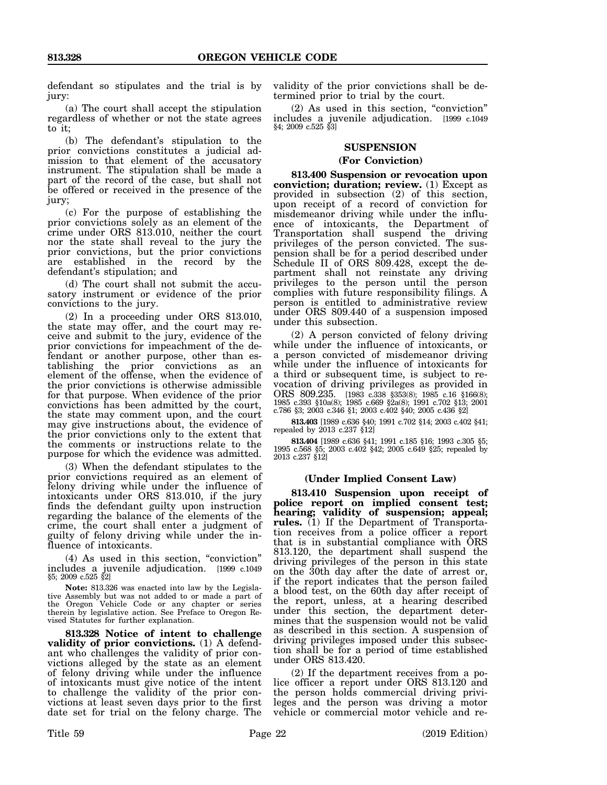defendant so stipulates and the trial is by jury:

(a) The court shall accept the stipulation regardless of whether or not the state agrees to it;

(b) The defendant's stipulation to the prior convictions constitutes a judicial admission to that element of the accusatory instrument. The stipulation shall be made a part of the record of the case, but shall not be offered or received in the presence of the jury;

(c) For the purpose of establishing the prior convictions solely as an element of the crime under ORS 813.010, neither the court nor the state shall reveal to the jury the prior convictions, but the prior convictions are established in the record by the defendant's stipulation; and

(d) The court shall not submit the accusatory instrument or evidence of the prior convictions to the jury.

(2) In a proceeding under ORS 813.010, the state may offer, and the court may receive and submit to the jury, evidence of the prior convictions for impeachment of the defendant or another purpose, other than establishing the prior convictions as an element of the offense, when the evidence of the prior convictions is otherwise admissible for that purpose. When evidence of the prior convictions has been admitted by the court, the state may comment upon, and the court may give instructions about, the evidence of the prior convictions only to the extent that the comments or instructions relate to the purpose for which the evidence was admitted.

(3) When the defendant stipulates to the prior convictions required as an element of felony driving while under the influence of intoxicants under ORS 813.010, if the jury finds the defendant guilty upon instruction regarding the balance of the elements of the crime, the court shall enter a judgment of guilty of felony driving while under the influence of intoxicants.

(4) As used in this section, "conviction" includes a juvenile adjudication. [1999 c.1049 §5; 2009 c.525 §2]

**Note:** 813.326 was enacted into law by the Legislative Assembly but was not added to or made a part of the Oregon Vehicle Code or any chapter or series therein by legislative action. See Preface to Oregon Revised Statutes for further explanation.

**813.328 Notice of intent to challenge validity of prior convictions.** (1) A defendant who challenges the validity of prior convictions alleged by the state as an element of felony driving while under the influence of intoxicants must give notice of the intent to challenge the validity of the prior convictions at least seven days prior to the first date set for trial on the felony charge. The validity of the prior convictions shall be determined prior to trial by the court.

(2) As used in this section, "conviction" includes a juvenile adjudication. [1999 c.1049 §4; 2009 c.525 §3]

### **SUSPENSION**

#### **(For Conviction)**

**813.400 Suspension or revocation upon conviction; duration; review.** (1) Except as provided in subsection (2) of this section, upon receipt of a record of conviction for misdemeanor driving while under the influence of intoxicants, the Department of Transportation shall suspend the driving privileges of the person convicted. The suspension shall be for a period described under Schedule II of ORS 809.428, except the department shall not reinstate any driving privileges to the person until the person complies with future responsibility filings. A person is entitled to administrative review under ORS 809.440 of a suspension imposed under this subsection.

(2) A person convicted of felony driving while under the influence of intoxicants, or a person convicted of misdemeanor driving while under the influence of intoxicants for a third or subsequent time, is subject to revocation of driving privileges as provided in ORS 809.235. [1983 c.338 §353(8); 1985 c.16 §166(8); 1985 c.393 §10a(8); 1985 c.669 §2a(8); 1991 c.702 §13; 2001 c.786 §3; 2003 c.346 §1; 2003 c.402 §40; 2005 c.436 §2]

**813.403** [1989 c.636 §40; 1991 c.702 §14; 2003 c.402 §41; repealed by 2013 c.237 §12]

**813.404** [1989 c.636 §41; 1991 c.185 §16; 1993 c.305 §5; 1995 c.568 §5; 2003 c.402 §42; 2005 c.649 §25; repealed by 2013 c.237 §12]

#### **(Under Implied Consent Law)**

**813.410 Suspension upon receipt of police report on implied consent test; hearing; validity of suspension; appeal; rules.** (1) If the Department of Transportation receives from a police officer a report that is in substantial compliance with ORS 813.120, the department shall suspend the driving privileges of the person in this state on the 30th day after the date of arrest or, if the report indicates that the person failed a blood test, on the 60th day after receipt of the report, unless, at a hearing described under this section, the department determines that the suspension would not be valid as described in this section. A suspension of driving privileges imposed under this subsection shall be for a period of time established under ORS 813.420.

(2) If the department receives from a police officer a report under ORS 813.120 and the person holds commercial driving privileges and the person was driving a motor vehicle or commercial motor vehicle and re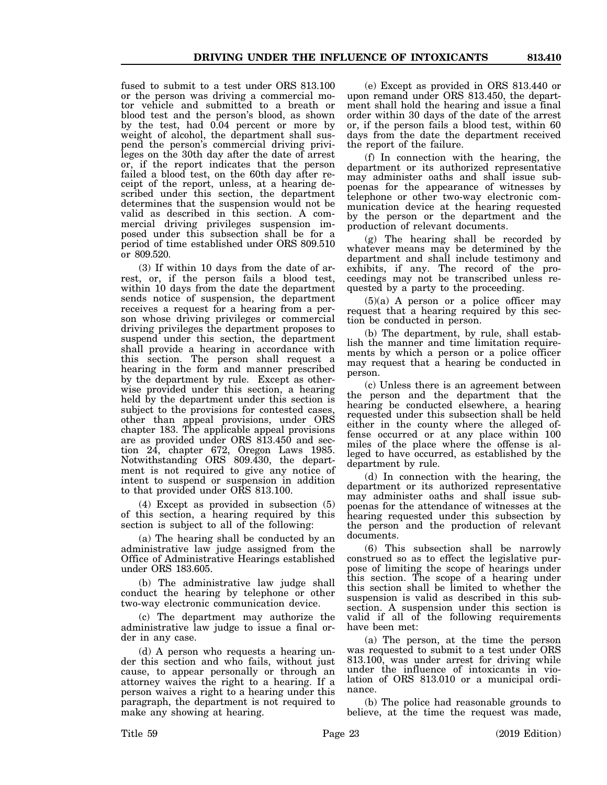fused to submit to a test under ORS 813.100 or the person was driving a commercial motor vehicle and submitted to a breath or blood test and the person's blood, as shown by the test, had 0.04 percent or more by weight of alcohol, the department shall suspend the person's commercial driving privileges on the 30th day after the date of arrest or, if the report indicates that the person failed a blood test, on the 60th day after receipt of the report, unless, at a hearing described under this section, the department determines that the suspension would not be valid as described in this section. A commercial driving privileges suspension imposed under this subsection shall be for a period of time established under ORS 809.510 or 809.520.

(3) If within 10 days from the date of arrest, or, if the person fails a blood test, within 10 days from the date the department sends notice of suspension, the department receives a request for a hearing from a person whose driving privileges or commercial driving privileges the department proposes to suspend under this section, the department shall provide a hearing in accordance with this section. The person shall request a hearing in the form and manner prescribed by the department by rule. Except as otherwise provided under this section, a hearing held by the department under this section is subject to the provisions for contested cases, other than appeal provisions, under ORS chapter 183. The applicable appeal provisions are as provided under ORS 813.450 and section 24, chapter 672, Oregon Laws 1985. Notwithstanding ORS 809.430, the department is not required to give any notice of intent to suspend or suspension in addition to that provided under ORS 813.100.

(4) Except as provided in subsection (5) of this section, a hearing required by this section is subject to all of the following:

(a) The hearing shall be conducted by an administrative law judge assigned from the Office of Administrative Hearings established under ORS 183.605.

(b) The administrative law judge shall conduct the hearing by telephone or other two-way electronic communication device.

(c) The department may authorize the administrative law judge to issue a final order in any case.

(d) A person who requests a hearing under this section and who fails, without just cause, to appear personally or through an attorney waives the right to a hearing. If a person waives a right to a hearing under this paragraph, the department is not required to make any showing at hearing.

(e) Except as provided in ORS 813.440 or upon remand under ORS 813.450, the department shall hold the hearing and issue a final order within 30 days of the date of the arrest or, if the person fails a blood test, within 60 days from the date the department received the report of the failure.

(f) In connection with the hearing, the department or its authorized representative may administer oaths and shall issue subpoenas for the appearance of witnesses by telephone or other two-way electronic communication device at the hearing requested by the person or the department and the production of relevant documents.

(g) The hearing shall be recorded by whatever means may be determined by the department and shall include testimony and exhibits, if any. The record of the proceedings may not be transcribed unless requested by a party to the proceeding.

(5)(a) A person or a police officer may request that a hearing required by this section be conducted in person.

(b) The department, by rule, shall establish the manner and time limitation requirements by which a person or a police officer may request that a hearing be conducted in person.

(c) Unless there is an agreement between the person and the department that the hearing be conducted elsewhere, a hearing requested under this subsection shall be held either in the county where the alleged offense occurred or at any place within 100 miles of the place where the offense is alleged to have occurred, as established by the department by rule.

(d) In connection with the hearing, the department or its authorized representative may administer oaths and shall issue subpoenas for the attendance of witnesses at the hearing requested under this subsection by the person and the production of relevant documents.

(6) This subsection shall be narrowly construed so as to effect the legislative purpose of limiting the scope of hearings under this section. The scope of a hearing under this section shall be limited to whether the suspension is valid as described in this subsection. A suspension under this section is valid if all of the following requirements have been met:

(a) The person, at the time the person was requested to submit to a test under ORS 813.100, was under arrest for driving while under the influence of intoxicants in violation of ORS 813.010 or a municipal ordinance.

(b) The police had reasonable grounds to believe, at the time the request was made,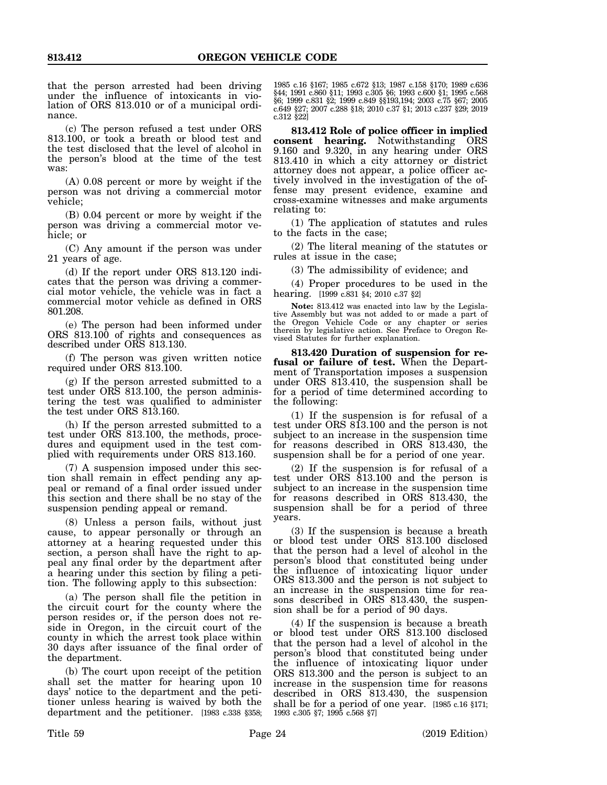that the person arrested had been driving under the influence of intoxicants in violation of ORS 813.010 or of a municipal ordinance.

(c) The person refused a test under ORS 813.100, or took a breath or blood test and the test disclosed that the level of alcohol in the person's blood at the time of the test was:

(A) 0.08 percent or more by weight if the person was not driving a commercial motor vehicle;

(B) 0.04 percent or more by weight if the person was driving a commercial motor vehicle; or

(C) Any amount if the person was under 21 years of age.

(d) If the report under ORS 813.120 indicates that the person was driving a commercial motor vehicle, the vehicle was in fact a commercial motor vehicle as defined in ORS 801.208.

(e) The person had been informed under ORS 813.100 of rights and consequences as described under ORS 813.130.

(f) The person was given written notice required under ORS 813.100.

(g) If the person arrested submitted to a test under ORS 813.100, the person administering the test was qualified to administer the test under ORS 813.160.

(h) If the person arrested submitted to a test under ORS 813.100, the methods, procedures and equipment used in the test complied with requirements under ORS 813.160.

(7) A suspension imposed under this section shall remain in effect pending any appeal or remand of a final order issued under this section and there shall be no stay of the suspension pending appeal or remand.

(8) Unless a person fails, without just cause, to appear personally or through an attorney at a hearing requested under this section, a person shall have the right to appeal any final order by the department after a hearing under this section by filing a petition. The following apply to this subsection:

(a) The person shall file the petition in the circuit court for the county where the person resides or, if the person does not reside in Oregon, in the circuit court of the county in which the arrest took place within 30 days after issuance of the final order of the department.

(b) The court upon receipt of the petition shall set the matter for hearing upon 10 days' notice to the department and the petitioner unless hearing is waived by both the department and the petitioner. [1983 c.338 §358;

1985 c.16 §167; 1985 c.672 §13; 1987 c.158 §170; 1989 c.636 §44; 1991 c.860 §11; 1993 c.305 §6; 1993 c.600 §1; 1995 c.568 §6; 1999 c.831 §2; 1999 c.849 §§193,194; 2003 c.75 §67; 2005 c.649 §27; 2007 c.288 §18; 2010 c.37 §1; 2013 c.237 §29; 2019 c.312 §22]

**813.412 Role of police officer in implied consent hearing.** Notwithstanding ORS 9.160 and 9.320, in any hearing under ORS 813.410 in which a city attorney or district attorney does not appear, a police officer actively involved in the investigation of the offense may present evidence, examine and cross-examine witnesses and make arguments relating to:

(1) The application of statutes and rules to the facts in the case;

(2) The literal meaning of the statutes or rules at issue in the case;

(3) The admissibility of evidence; and

(4) Proper procedures to be used in the hearing. [1999 c.831 §4; 2010 c.37 §2]

**Note:** 813.412 was enacted into law by the Legislative Assembly but was not added to or made a part of the Oregon Vehicle Code or any chapter or series therein by legislative action. See Preface to Oregon Revised Statutes for further explanation.

**813.420 Duration of suspension for refusal or failure of test.** When the Department of Transportation imposes a suspension under ORS 813.410, the suspension shall be for a period of time determined according to the following:

(1) If the suspension is for refusal of a test under ORS 813.100 and the person is not subject to an increase in the suspension time for reasons described in ORS 813.430, the suspension shall be for a period of one year.

(2) If the suspension is for refusal of a test under ORS 813.100 and the person is subject to an increase in the suspension time for reasons described in ORS 813.430, the suspension shall be for a period of three years.

(3) If the suspension is because a breath or blood test under ORS 813.100 disclosed that the person had a level of alcohol in the person's blood that constituted being under the influence of intoxicating liquor under ORS 813.300 and the person is not subject to an increase in the suspension time for reasons described in ORS 813.430, the suspension shall be for a period of 90 days.

(4) If the suspension is because a breath or blood test under ORS 813.100 disclosed that the person had a level of alcohol in the person's blood that constituted being under the influence of intoxicating liquor under ORS 813.300 and the person is subject to an increase in the suspension time for reasons described in ORS 813.430, the suspension shall be for a period of one year. [1985 c.16 §171; 1993 c.305 §7; 1995 c.568 §7]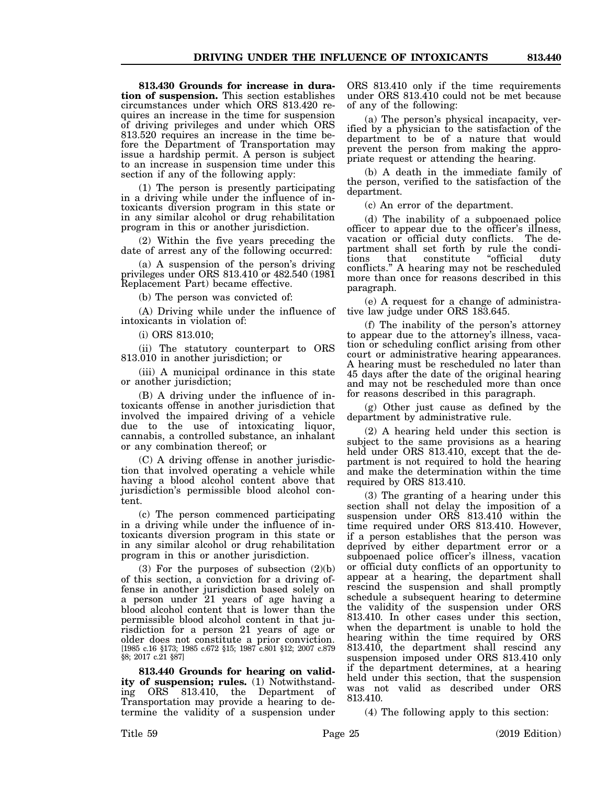**813.430 Grounds for increase in duration of suspension.** This section establishes circumstances under which ORS 813.420 requires an increase in the time for suspension of driving privileges and under which ORS 813.520 requires an increase in the time before the Department of Transportation may issue a hardship permit. A person is subject to an increase in suspension time under this section if any of the following apply:

(1) The person is presently participating in a driving while under the influence of intoxicants diversion program in this state or in any similar alcohol or drug rehabilitation program in this or another jurisdiction.

(2) Within the five years preceding the date of arrest any of the following occurred:

(a) A suspension of the person's driving privileges under ORS 813.410 or 482.540 (1981 Replacement Part) became effective.

(b) The person was convicted of:

(A) Driving while under the influence of intoxicants in violation of:

(i) ORS 813.010;

(ii) The statutory counterpart to ORS 813.010 in another jurisdiction; or

(iii) A municipal ordinance in this state or another jurisdiction;

(B) A driving under the influence of intoxicants offense in another jurisdiction that involved the impaired driving of a vehicle due to the use of intoxicating liquor, cannabis, a controlled substance, an inhalant or any combination thereof; or

(C) A driving offense in another jurisdiction that involved operating a vehicle while having a blood alcohol content above that jurisdiction's permissible blood alcohol content.

(c) The person commenced participating in a driving while under the influence of intoxicants diversion program in this state or in any similar alcohol or drug rehabilitation program in this or another jurisdiction.

(3) For the purposes of subsection  $(2)(b)$ of this section, a conviction for a driving offense in another jurisdiction based solely on a person under 21 years of age having a blood alcohol content that is lower than the permissible blood alcohol content in that jurisdiction for a person 21 years of age or older does not constitute a prior conviction. [1985 c.16 §173; 1985 c.672 §15; 1987 c.801 §12; 2007 c.879 §8; 2017 c.21 §87]

**813.440 Grounds for hearing on validity of suspension; rules.** (1) Notwithstanding ORS 813.410, the Department of Transportation may provide a hearing to determine the validity of a suspension under

ORS 813.410 only if the time requirements under ORS 813.410 could not be met because of any of the following:

(a) The person's physical incapacity, verified by a physician to the satisfaction of the department to be of a nature that would prevent the person from making the appropriate request or attending the hearing.

(b) A death in the immediate family of the person, verified to the satisfaction of the department.

(c) An error of the department.

(d) The inability of a subpoenaed police officer to appear due to the officer's illness, vacation or official duty conflicts. The department shall set forth by rule the condi-<br>tions that constitute "official duty tions that constitute conflicts." A hearing may not be rescheduled more than once for reasons described in this paragraph.

(e) A request for a change of administrative law judge under ORS 183.645.

(f) The inability of the person's attorney to appear due to the attorney's illness, vacation or scheduling conflict arising from other court or administrative hearing appearances. A hearing must be rescheduled no later than 45 days after the date of the original hearing and may not be rescheduled more than once for reasons described in this paragraph.

(g) Other just cause as defined by the department by administrative rule.

(2) A hearing held under this section is subject to the same provisions as a hearing held under ORS 813.410, except that the department is not required to hold the hearing and make the determination within the time required by ORS 813.410.

(3) The granting of a hearing under this section shall not delay the imposition of a suspension under ORS 813.410 within the time required under ORS 813.410. However, if a person establishes that the person was deprived by either department error or a subpoenaed police officer's illness, vacation or official duty conflicts of an opportunity to appear at a hearing, the department shall rescind the suspension and shall promptly schedule a subsequent hearing to determine the validity of the suspension under ORS 813.410. In other cases under this section, when the department is unable to hold the hearing within the time required by ORS 813.410, the department shall rescind any suspension imposed under ORS 813.410 only if the department determines, at a hearing held under this section, that the suspension was not valid as described under ORS 813.410.

(4) The following apply to this section: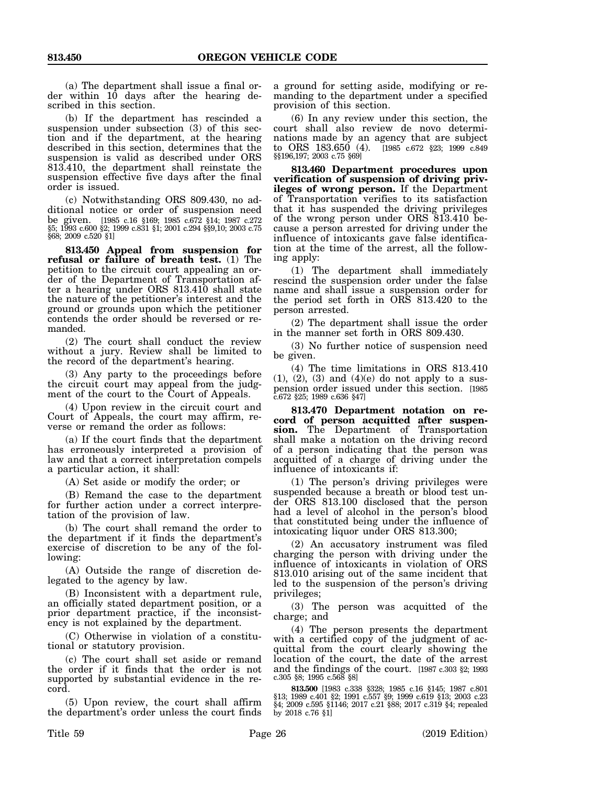(a) The department shall issue a final order within 10 days after the hearing described in this section.

(b) If the department has rescinded a suspension under subsection (3) of this section and if the department, at the hearing described in this section, determines that the suspension is valid as described under ORS 813.410, the department shall reinstate the suspension effective five days after the final order is issued.

(c) Notwithstanding ORS 809.430, no additional notice or order of suspension need be given. [1985 c.16 §169; 1985 c.672 §14; 1987 c.272 §5; 1993 c.600 §2; 1999 c.831 §1; 2001 c.294 §§9,10; 2003 c.75 §68; 2009 c.520 §1]

**813.450 Appeal from suspension for** refusal or failure of breath test. (1) The petition to the circuit court appealing an order of the Department of Transportation after a hearing under ORS 813.410 shall state the nature of the petitioner's interest and the ground or grounds upon which the petitioner contends the order should be reversed or remanded.

(2) The court shall conduct the review without a jury. Review shall be limited to the record of the department's hearing.

(3) Any party to the proceedings before the circuit court may appeal from the judgment of the court to the Court of Appeals.

(4) Upon review in the circuit court and Court of Appeals, the court may affirm, reverse or remand the order as follows:

(a) If the court finds that the department has erroneously interpreted a provision of law and that a correct interpretation compels a particular action, it shall:

(A) Set aside or modify the order; or

(B) Remand the case to the department for further action under a correct interpretation of the provision of law.

(b) The court shall remand the order to the department if it finds the department's exercise of discretion to be any of the following:

(A) Outside the range of discretion delegated to the agency by law.

(B) Inconsistent with a department rule, an officially stated department position, or a prior department practice, if the inconsistency is not explained by the department.

(C) Otherwise in violation of a constitutional or statutory provision.

(c) The court shall set aside or remand the order if it finds that the order is not supported by substantial evidence in the record.

(5) Upon review, the court shall affirm the department's order unless the court finds a ground for setting aside, modifying or remanding to the department under a specified provision of this section.

(6) In any review under this section, the court shall also review de novo determinations made by an agency that are subject to ORS 183.650 (4). [1985 c.672 §23; 1999 c.849 §§196,197; 2003 c.75 §69]

**813.460 Department procedures upon verification of suspension of driving privileges of wrong person.** If the Department of Transportation verifies to its satisfaction that it has suspended the driving privileges of the wrong person under ORS 813.410 because a person arrested for driving under the influence of intoxicants gave false identification at the time of the arrest, all the following apply:

(1) The department shall immediately rescind the suspension order under the false name and shall issue a suspension order for the period set forth in ORS 813.420 to the person arrested.

(2) The department shall issue the order in the manner set forth in ORS 809.430.

(3) No further notice of suspension need be given.

(4) The time limitations in ORS 813.410  $(1), (2), (3)$  and  $(4)(e)$  do not apply to a suspension order issued under this section. [1985 c.672 §25; 1989 c.636 §47]

**813.470 Department notation on record of person acquitted after suspension.** The Department of Transportation shall make a notation on the driving record of a person indicating that the person was acquitted of a charge of driving under the influence of intoxicants if:

(1) The person's driving privileges were suspended because a breath or blood test under ORS 813.100 disclosed that the person had a level of alcohol in the person's blood that constituted being under the influence of intoxicating liquor under ORS 813.300;

(2) An accusatory instrument was filed charging the person with driving under the influence of intoxicants in violation of ORS 813.010 arising out of the same incident that led to the suspension of the person's driving privileges;

(3) The person was acquitted of the charge; and

(4) The person presents the department with a certified copy of the judgment of acquittal from the court clearly showing the location of the court, the date of the arrest and the findings of the court. [1987 c.303 §2; 1993 c.305 §8; 1995 c.568 §8]

**813.500** [1983 c.338 §328; 1985 c.16 §145; 1987 c.801 §13; 1989 c.401 §2; 1991 c.557 §9; 1999 c.619 §13; 2003 c.23 §4; 2009 c.595 §1146; 2017 c.21 §88; 2017 c.319 §4; repealed by 2018 c.76 §1]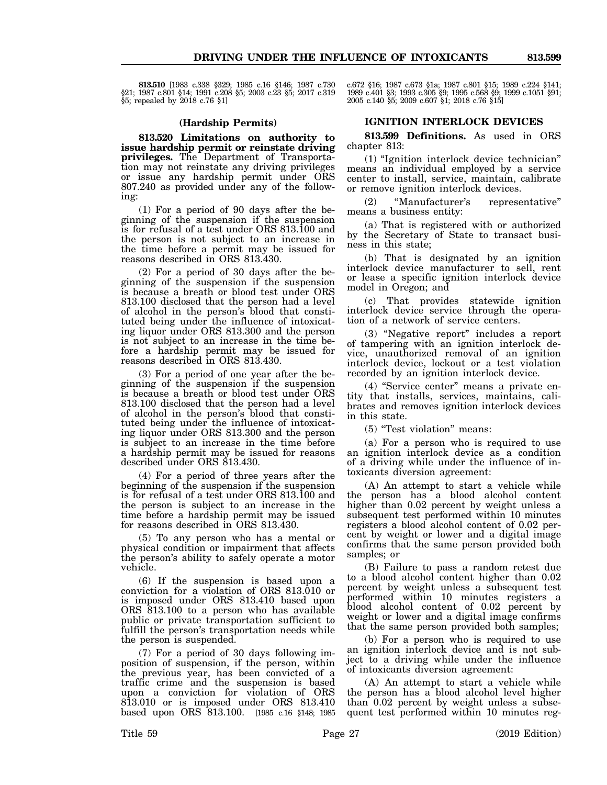**813.510** [1983 c.338 §329; 1985 c.16 §146; 1987 c.730 §21; 1987 c.801 §14; 1991 c.208 §5; 2003 c.23 §5; 2017 c.319 §5; repealed by 2018 c.76 §1]

#### **(Hardship Permits)**

**813.520 Limitations on authority to issue hardship permit or reinstate driving privileges.** The Department of Transportation may not reinstate any driving privileges or issue any hardship permit under ORS 807.240 as provided under any of the following:

(1) For a period of 90 days after the beginning of the suspension if the suspension is for refusal of a test under ORS 813.100 and the person is not subject to an increase in the time before a permit may be issued for reasons described in ORS 813.430.

(2) For a period of 30 days after the beginning of the suspension if the suspension is because a breath or blood test under ORS 813.100 disclosed that the person had a level of alcohol in the person's blood that constituted being under the influence of intoxicating liquor under ORS 813.300 and the person is not subject to an increase in the time before a hardship permit may be issued for reasons described in ORS 813.430.

(3) For a period of one year after the beginning of the suspension if the suspension is because a breath or blood test under ORS 813.100 disclosed that the person had a level of alcohol in the person's blood that constituted being under the influence of intoxicating liquor under ORS 813.300 and the person is subject to an increase in the time before a hardship permit may be issued for reasons described under ORS 813.430.

(4) For a period of three years after the beginning of the suspension if the suspension is for refusal of a test under ORS 813.100 and the person is subject to an increase in the time before a hardship permit may be issued for reasons described in ORS 813.430.

(5) To any person who has a mental or physical condition or impairment that affects the person's ability to safely operate a motor vehicle.

(6) If the suspension is based upon a conviction for a violation of ORS 813.010 or is imposed under ORS 813.410 based upon ORS 813.100 to a person who has available public or private transportation sufficient to fulfill the person's transportation needs while the person is suspended.

(7) For a period of 30 days following imposition of suspension, if the person, within the previous year, has been convicted of a traffic crime and the suspension is based upon a conviction for violation of ORS 813.010 or is imposed under ORS 813.410 based upon ORS 813.100. [1985 c.16 §148; 1985

c.672 §16; 1987 c.673 §1a; 1987 c.801 §15; 1989 c.224 §141; 1989 c.401 §3; 1993 c.305 §9; 1995 c.568 §9; 1999 c.1051 §91; 2005 c.140 §5; 2009 c.607 §1; 2018 c.76 §15]

#### **IGNITION INTERLOCK DEVICES**

**813.599 Definitions.** As used in ORS chapter 813:

(1) "Ignition interlock device technician" means an individual employed by a service center to install, service, maintain, calibrate or remove ignition interlock devices.

 (2) "Manufacturer's representative" means a business entity:

(a) That is registered with or authorized by the Secretary of State to transact business in this state;

(b) That is designated by an ignition interlock device manufacturer to sell, rent or lease a specific ignition interlock device model in Oregon; and

(c) That provides statewide ignition interlock device service through the operation of a network of service centers.

(3) "Negative report" includes a report of tampering with an ignition interlock device, unauthorized removal of an ignition interlock device, lockout or a test violation recorded by an ignition interlock device.

(4) "Service center" means a private entity that installs, services, maintains, calibrates and removes ignition interlock devices in this state.

(5) "Test violation" means:

(a) For a person who is required to use an ignition interlock device as a condition of a driving while under the influence of intoxicants diversion agreement:

(A) An attempt to start a vehicle while the person has a blood alcohol content higher than  $0.02$  percent by weight unless a subsequent test performed within 10 minutes registers a blood alcohol content of 0.02 percent by weight or lower and a digital image confirms that the same person provided both samples; or

(B) Failure to pass a random retest due to a blood alcohol content higher than 0.02 percent by weight unless a subsequent test performed within 10 minutes registers a blood alcohol content of 0.02 percent by weight or lower and a digital image confirms that the same person provided both samples;

(b) For a person who is required to use an ignition interlock device and is not subject to a driving while under the influence of intoxicants diversion agreement:

(A) An attempt to start a vehicle while the person has a blood alcohol level higher than 0.02 percent by weight unless a subsequent test performed within 10 minutes reg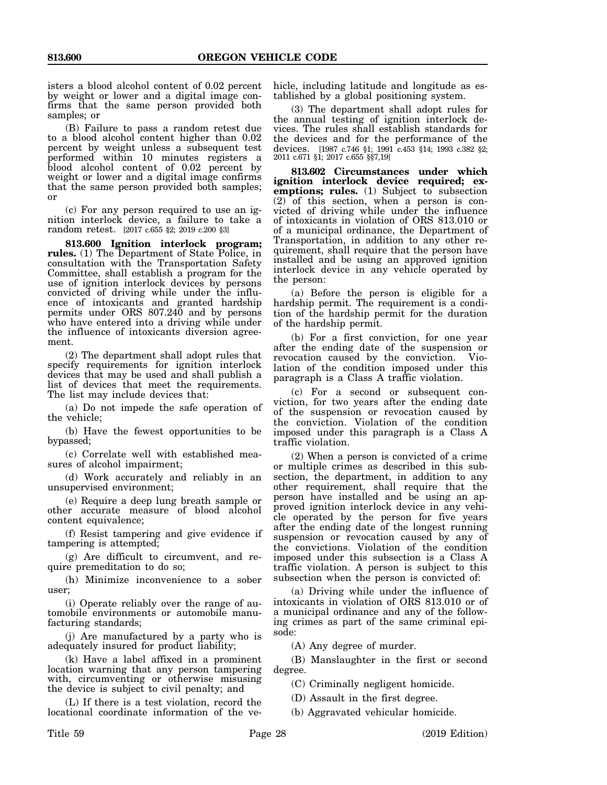isters a blood alcohol content of 0.02 percent by weight or lower and a digital image confirms that the same person provided both samples; or

(B) Failure to pass a random retest due to a blood alcohol content higher than 0.02 percent by weight unless a subsequent test performed within 10 minutes registers a blood alcohol content of 0.02 percent by weight or lower and a digital image confirms that the same person provided both samples; or

(c) For any person required to use an ignition interlock device, a failure to take a random retest. [2017 c.655 §2; 2019 c.200 §3]

**813.600 Ignition interlock program; rules.** (1) The Department of State Police, in consultation with the Transportation Safety Committee, shall establish a program for the use of ignition interlock devices by persons convicted of driving while under the influence of intoxicants and granted hardship permits under ORS 807.240 and by persons who have entered into a driving while under the influence of intoxicants diversion agreement.

(2) The department shall adopt rules that specify requirements for ignition interlock devices that may be used and shall publish a list of devices that meet the requirements. The list may include devices that:

(a) Do not impede the safe operation of the vehicle;

(b) Have the fewest opportunities to be bypassed;

(c) Correlate well with established measures of alcohol impairment;

(d) Work accurately and reliably in an unsupervised environment;

(e) Require a deep lung breath sample or other accurate measure of blood alcohol content equivalence;

(f) Resist tampering and give evidence if tampering is attempted;

(g) Are difficult to circumvent, and require premeditation to do so;

(h) Minimize inconvenience to a sober user;

(i) Operate reliably over the range of automobile environments or automobile manufacturing standards;

(j) Are manufactured by a party who is adequately insured for product liability;

(k) Have a label affixed in a prominent location warning that any person tampering with, circumventing or otherwise misusing the device is subject to civil penalty; and

(L) If there is a test violation, record the locational coordinate information of the vehicle, including latitude and longitude as established by a global positioning system.

(3) The department shall adopt rules for the annual testing of ignition interlock devices. The rules shall establish standards for the devices and for the performance of the devices. [1987 c.746 §1; 1991 c.453 §14; 1993 c.382 §2; 2011 c.671 §1; 2017 c.655 §§7,19]

**813.602 Circumstances under which ignition interlock device required; exemptions; rules.** (1) Subject to subsection (2) of this section, when a person is convicted of driving while under the influence of intoxicants in violation of ORS 813.010 or of a municipal ordinance, the Department of Transportation, in addition to any other requirement, shall require that the person have installed and be using an approved ignition interlock device in any vehicle operated by the person:

(a) Before the person is eligible for a hardship permit. The requirement is a condition of the hardship permit for the duration of the hardship permit.

(b) For a first conviction, for one year after the ending date of the suspension or revocation caused by the conviction. Violation of the condition imposed under this paragraph is a Class A traffic violation.

(c) For a second or subsequent conviction, for two years after the ending date of the suspension or revocation caused by the conviction. Violation of the condition imposed under this paragraph is a Class A traffic violation.

(2) When a person is convicted of a crime or multiple crimes as described in this subsection, the department, in addition to any other requirement, shall require that the person have installed and be using an approved ignition interlock device in any vehicle operated by the person for five years after the ending date of the longest running suspension or revocation caused by any of the convictions. Violation of the condition imposed under this subsection is a Class A traffic violation. A person is subject to this subsection when the person is convicted of:

(a) Driving while under the influence of intoxicants in violation of ORS 813.010 or of a municipal ordinance and any of the following crimes as part of the same criminal episode:

(A) Any degree of murder.

(B) Manslaughter in the first or second degree.

(C) Criminally negligent homicide.

- (D) Assault in the first degree.
- (b) Aggravated vehicular homicide.

Title 59 Page 28 (2019 Edition)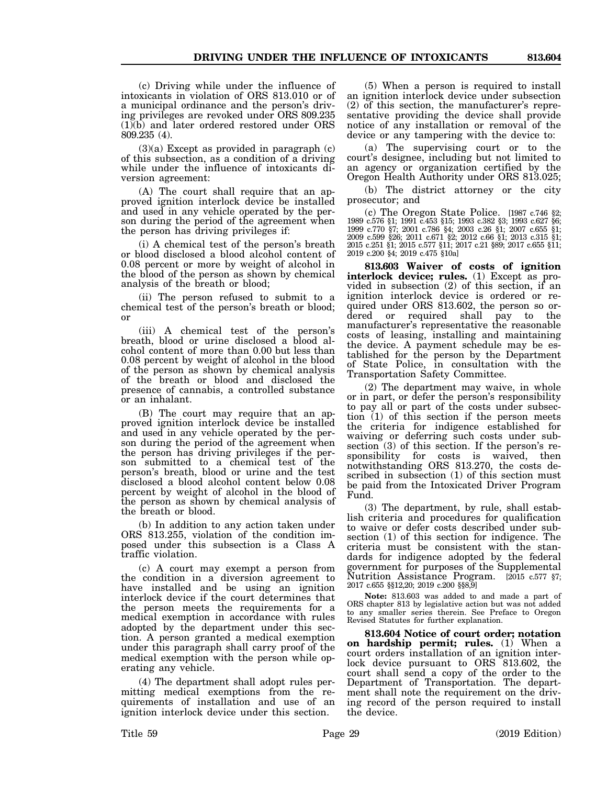(c) Driving while under the influence of intoxicants in violation of ORS 813.010 or of a municipal ordinance and the person's driving privileges are revoked under ORS 809.235 (1)(b) and later ordered restored under ORS 809.235 (4).

 $(3)(a)$  Except as provided in paragraph  $(c)$ of this subsection, as a condition of a driving while under the influence of intoxicants diversion agreement:

(A) The court shall require that an approved ignition interlock device be installed and used in any vehicle operated by the person during the period of the agreement when the person has driving privileges if:

(i) A chemical test of the person's breath or blood disclosed a blood alcohol content of 0.08 percent or more by weight of alcohol in the blood of the person as shown by chemical analysis of the breath or blood;

(ii) The person refused to submit to a chemical test of the person's breath or blood; or

(iii) A chemical test of the person's breath, blood or urine disclosed a blood alcohol content of more than 0.00 but less than 0.08 percent by weight of alcohol in the blood of the person as shown by chemical analysis of the breath or blood and disclosed the presence of cannabis, a controlled substance or an inhalant.

(B) The court may require that an approved ignition interlock device be installed and used in any vehicle operated by the person during the period of the agreement when the person has driving privileges if the person submitted to a chemical test of the person's breath, blood or urine and the test disclosed a blood alcohol content below 0.08 percent by weight of alcohol in the blood of the person as shown by chemical analysis of the breath or blood.

(b) In addition to any action taken under ORS 813.255, violation of the condition imposed under this subsection is a Class A traffic violation.

(c) A court may exempt a person from the condition in a diversion agreement to have installed and be using an ignition interlock device if the court determines that the person meets the requirements for a medical exemption in accordance with rules adopted by the department under this section. A person granted a medical exemption under this paragraph shall carry proof of the medical exemption with the person while operating any vehicle.

(4) The department shall adopt rules permitting medical exemptions from the requirements of installation and use of an ignition interlock device under this section.

(5) When a person is required to install an ignition interlock device under subsection (2) of this section, the manufacturer's representative providing the device shall provide notice of any installation or removal of the device or any tampering with the device to:

(a) The supervising court or to the court's designee, including but not limited to an agency or organization certified by the Oregon Health Authority under ORS 813.025;

(b) The district attorney or the city prosecutor; and

(c) The Oregon State Police. [1987 c.746 §2; 1989 c.576 §1; 1991 c.453 §15; 1993 c.382 §3; 1993 c.627 §6; 1999 c.770 §7; 2001 c.786 §4; 2003 c.26 §1; 2007 c.655 §1; 2009 c.599 §26; 2011 c.671 §2; 2012 c.66 §1; 2013 c.315 §1; 2015 c.251 §1; 2015 c.577 §11; 2017 c.21 §89; 2017 c.655 §11; 2019 c.200 §4; 2019 c.475 §10a]

**813.603 Waiver of costs of ignition interlock device; rules.** (1) Except as provided in subsection (2) of this section, if an ignition interlock device is ordered or required under ORS 813.602, the person so ordered or required shall pay to the manufacturer's representative the reasonable costs of leasing, installing and maintaining the device. A payment schedule may be established for the person by the Department of State Police, in consultation with the Transportation Safety Committee.

(2) The department may waive, in whole or in part, or defer the person's responsibility to pay all or part of the costs under subsection (1) of this section if the person meets the criteria for indigence established for waiving or deferring such costs under subsection (3) of this section. If the person's responsibility for costs is waived, then notwithstanding ORS 813.270, the costs described in subsection (1) of this section must be paid from the Intoxicated Driver Program Fund.

(3) The department, by rule, shall establish criteria and procedures for qualification to waive or defer costs described under subsection (1) of this section for indigence. The criteria must be consistent with the standards for indigence adopted by the federal government for purposes of the Supplemental Nutrition Assistance Program. [2015 c.577 §7; 2017 c.655 §§12,20; 2019 c.200 §§8,9]

**Note:** 813.603 was added to and made a part of ORS chapter 813 by legislative action but was not added to any smaller series therein. See Preface to Oregon Revised Statutes for further explanation.

**813.604 Notice of court order; notation on hardship permit; rules.** (1) When a court orders installation of an ignition interlock device pursuant to ORS 813.602, the court shall send a copy of the order to the Department of Transportation. The department shall note the requirement on the driving record of the person required to install the device.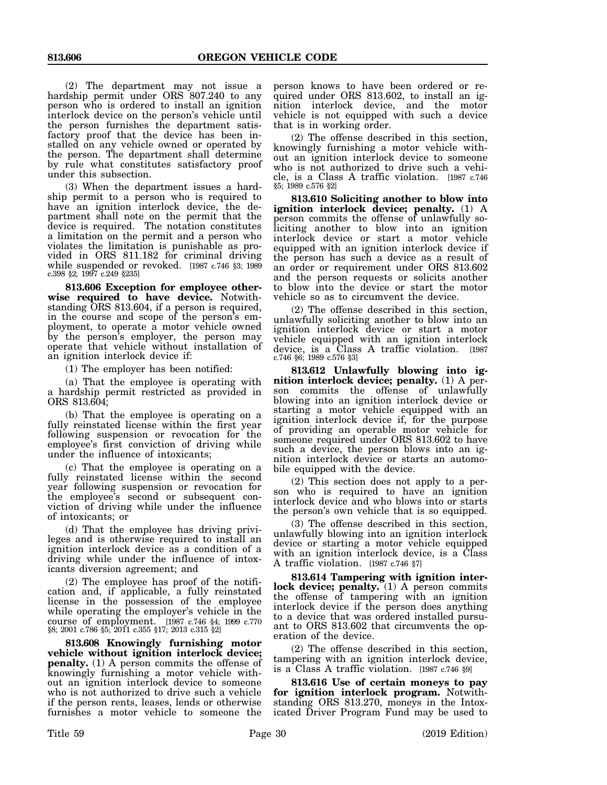(2) The department may not issue a hardship permit under ORS 807.240 to any person who is ordered to install an ignition interlock device on the person's vehicle until the person furnishes the department satisfactory proof that the device has been installed on any vehicle owned or operated by the person. The department shall determine by rule what constitutes satisfactory proof under this subsection.

(3) When the department issues a hardship permit to a person who is required to have an ignition interlock device, the department shall note on the permit that the device is required. The notation constitutes a limitation on the permit and a person who violates the limitation is punishable as provided in ORS 811.182 for criminal driving while suspended or revoked. [1987 c.746 §3; 1989 c.398 §2; 1997 c.249 §235]

**813.606 Exception for employee otherwise required to have device.** Notwithstanding ORS 813.604, if a person is required, in the course and scope of the person's employment, to operate a motor vehicle owned by the person's employer, the person may operate that vehicle without installation of an ignition interlock device if:

(1) The employer has been notified:

(a) That the employee is operating with a hardship permit restricted as provided in ORS 813.604;

(b) That the employee is operating on a fully reinstated license within the first year following suspension or revocation for the employee's first conviction of driving while under the influence of intoxicants;

(c) That the employee is operating on a fully reinstated license within the second year following suspension or revocation for the employee's second or subsequent conviction of driving while under the influence of intoxicants; or

(d) That the employee has driving privileges and is otherwise required to install an ignition interlock device as a condition of a driving while under the influence of intoxicants diversion agreement; and

(2) The employee has proof of the notification and, if applicable, a fully reinstated license in the possession of the employee while operating the employer's vehicle in the course of employment. [1987 c.746 §4; 1999 c.770 §8; 2001 c.786 §5; 2011 c.355 §17; 2013 c.315 §2]

**813.608 Knowingly furnishing motor vehicle without ignition interlock device; penalty.** (1) A person commits the offense of knowingly furnishing a motor vehicle without an ignition interlock device to someone who is not authorized to drive such a vehicle if the person rents, leases, lends or otherwise furnishes a motor vehicle to someone the

person knows to have been ordered or required under ORS 813.602, to install an ignition interlock device, and the motor vehicle is not equipped with such a device that is in working order.

(2) The offense described in this section, knowingly furnishing a motor vehicle without an ignition interlock device to someone who is not authorized to drive such a vehicle, is a Class A traffic violation. [1987 c.746 §5; 1989 c.576 §2]

**813.610 Soliciting another to blow into ignition interlock device; penalty.** (1) A person commits the offense of unlawfully soliciting another to blow into an ignition interlock device or start a motor vehicle equipped with an ignition interlock device if the person has such a device as a result of an order or requirement under ORS 813.602 and the person requests or solicits another to blow into the device or start the motor vehicle so as to circumvent the device.

(2) The offense described in this section, unlawfully soliciting another to blow into an ignition interlock device or start a motor vehicle equipped with an ignition interlock device, is a Class A traffic violation. [1987 c.746 §6; 1989 c.576 §3]

**813.612 Unlawfully blowing into ignition interlock device; penalty.** (1) A person commits the offense of unlawfully blowing into an ignition interlock device or starting a motor vehicle equipped with an ignition interlock device if, for the purpose of providing an operable motor vehicle for someone required under ORS 813.602 to have such a device, the person blows into an ignition interlock device or starts an automobile equipped with the device.

(2) This section does not apply to a person who is required to have an ignition interlock device and who blows into or starts the person's own vehicle that is so equipped.

(3) The offense described in this section, unlawfully blowing into an ignition interlock device or starting a motor vehicle equipped with an ignition interlock device, is a Class A traffic violation. [1987 c.746 §7]

**813.614 Tampering with ignition inter**lock device; penalty. (1) A person commits the offense of tampering with an ignition interlock device if the person does anything to a device that was ordered installed pursuant to ORS 813.602 that circumvents the operation of the device.

(2) The offense described in this section, tampering with an ignition interlock device, is a Class A traffic violation. [1987 c.746 §9]

**813.616 Use of certain moneys to pay for ignition interlock program.** Notwithstanding ORS 813.270, moneys in the Intoxicated Driver Program Fund may be used to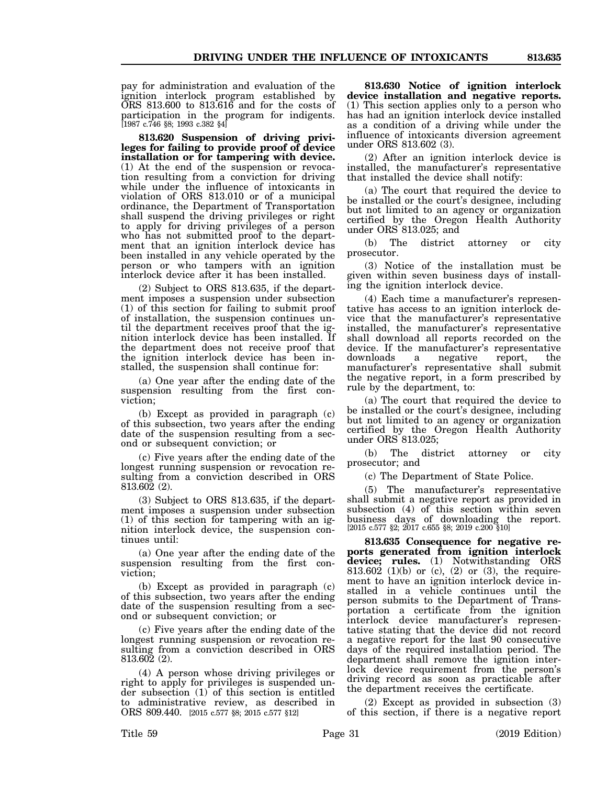pay for administration and evaluation of the ignition interlock program established by  $\overrightarrow{ORS}$  813.600 to 813.616 and for the costs of

**813.620 Suspension of driving privileges for failing to provide proof of device installation or for tampering with device.** (1) At the end of the suspension or revocation resulting from a conviction for driving while under the influence of intoxicants in violation of ORS 813.010 or of a municipal ordinance, the Department of Transportation shall suspend the driving privileges or right to apply for driving privileges of a person who has not submitted proof to the department that an ignition interlock device has been installed in any vehicle operated by the person or who tampers with an ignition interlock device after it has been installed.

participation in the program for indigents. [1987 c.746 §8; 1993 c.382 §4]

(2) Subject to ORS 813.635, if the department imposes a suspension under subsection (1) of this section for failing to submit proof of installation, the suspension continues until the department receives proof that the ignition interlock device has been installed. If the department does not receive proof that the ignition interlock device has been installed, the suspension shall continue for:

(a) One year after the ending date of the suspension resulting from the first conviction;

(b) Except as provided in paragraph (c) of this subsection, two years after the ending date of the suspension resulting from a second or subsequent conviction; or

(c) Five years after the ending date of the longest running suspension or revocation resulting from a conviction described in ORS 813.602 (2).

(3) Subject to ORS 813.635, if the department imposes a suspension under subsection (1) of this section for tampering with an ignition interlock device, the suspension continues until:

(a) One year after the ending date of the suspension resulting from the first conviction;

(b) Except as provided in paragraph (c) of this subsection, two years after the ending date of the suspension resulting from a second or subsequent conviction; or

(c) Five years after the ending date of the longest running suspension or revocation resulting from a conviction described in ORS 813.602 (2).

(4) A person whose driving privileges or right to apply for privileges is suspended under subsection (1) of this section is entitled to administrative review, as described in ORS 809.440. [2015 c.577 §8; 2015 c.577 §12]

**813.630 Notice of ignition interlock device installation and negative reports.** (1) This section applies only to a person who has had an ignition interlock device installed as a condition of a driving while under the influence of intoxicants diversion agreement under ORS 813.602 (3).

(2) After an ignition interlock device is installed, the manufacturer's representative that installed the device shall notify:

(a) The court that required the device to be installed or the court's designee, including but not limited to an agency or organization certified by the Oregon Health Authority under ORS 813.025; and

(b) The district attorney or city prosecutor.

(3) Notice of the installation must be given within seven business days of installing the ignition interlock device.

(4) Each time a manufacturer's representative has access to an ignition interlock device that the manufacturer's representative installed, the manufacturer's representative shall download all reports recorded on the device. If the manufacturer's representative downloads a negative report, the manufacturer's representative shall submit the negative report, in a form prescribed by rule by the department, to:

(a) The court that required the device to be installed or the court's designee, including but not limited to an agency or organization certified by the Oregon Health Authority under ORS 813.025;

(b) The district attorney or city prosecutor; and

(c) The Department of State Police.

(5) The manufacturer's representative shall submit a negative report as provided in subsection (4) of this section within seven business days of downloading the report. [2015 c.577 §2; 2017 c.655 §8; 2019 c.200 §10]

**813.635 Consequence for negative reports generated from ignition interlock device; rules.** (1) Notwithstanding ORS 813.602 (1)(b) or (c), (2) or (3), the requirement to have an ignition interlock device installed in a vehicle continues until the person submits to the Department of Transportation a certificate from the ignition interlock device manufacturer's representative stating that the device did not record a negative report for the last 90 consecutive days of the required installation period. The department shall remove the ignition interlock device requirement from the person's driving record as soon as practicable after the department receives the certificate.

(2) Except as provided in subsection (3) of this section, if there is a negative report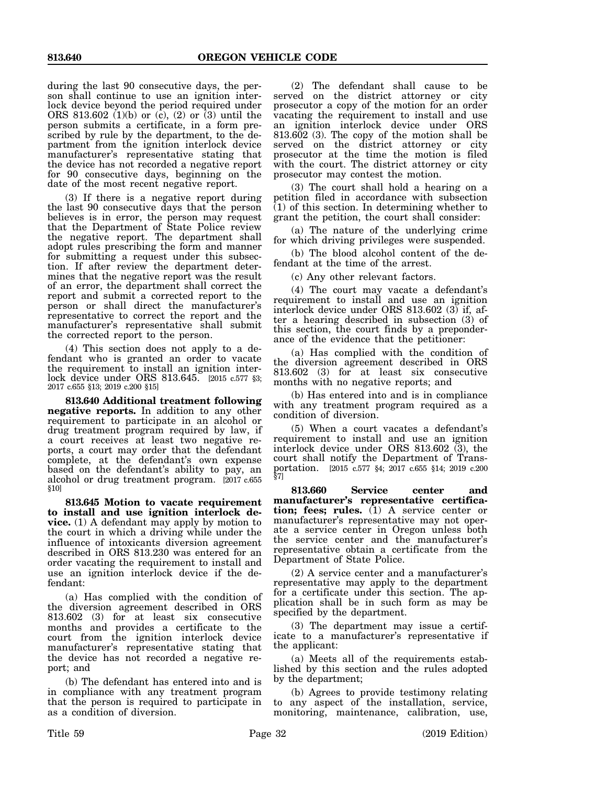during the last 90 consecutive days, the person shall continue to use an ignition interlock device beyond the period required under ORS 813.602  $(1)(b)$  or  $(c)$ ,  $(2)$  or  $(3)$  until the person submits a certificate, in a form prescribed by rule by the department, to the department from the ignition interlock device manufacturer's representative stating that the device has not recorded a negative report for 90 consecutive days, beginning on the date of the most recent negative report.

(3) If there is a negative report during the last 90 consecutive days that the person believes is in error, the person may request that the Department of State Police review the negative report. The department shall adopt rules prescribing the form and manner for submitting a request under this subsection. If after review the department determines that the negative report was the result of an error, the department shall correct the report and submit a corrected report to the person or shall direct the manufacturer's representative to correct the report and the manufacturer's representative shall submit the corrected report to the person.

(4) This section does not apply to a defendant who is granted an order to vacate the requirement to install an ignition interlock device under ORS 813.645. [2015 c.577 §3; 2017 c.655 §13; 2019 c.200 §15]

**813.640 Additional treatment following negative reports.** In addition to any other requirement to participate in an alcohol or drug treatment program required by law, if a court receives at least two negative reports, a court may order that the defendant complete, at the defendant's own expense based on the defendant's ability to pay, an alcohol or drug treatment program. [2017 c.655 §10]

**813.645 Motion to vacate requirement to install and use ignition interlock device.** (1) A defendant may apply by motion to the court in which a driving while under the influence of intoxicants diversion agreement described in ORS 813.230 was entered for an order vacating the requirement to install and use an ignition interlock device if the defendant:

(a) Has complied with the condition of the diversion agreement described in ORS 813.602 (3) for at least six consecutive months and provides a certificate to the court from the ignition interlock device manufacturer's representative stating that the device has not recorded a negative report; and

(b) The defendant has entered into and is in compliance with any treatment program that the person is required to participate in as a condition of diversion.

(2) The defendant shall cause to be served on the district attorney or city prosecutor a copy of the motion for an order vacating the requirement to install and use an ignition interlock device under ORS 813.602 (3). The copy of the motion shall be served on the district attorney or city prosecutor at the time the motion is filed with the court. The district attorney or city prosecutor may contest the motion.

(3) The court shall hold a hearing on a petition filed in accordance with subsection (1) of this section. In determining whether to grant the petition, the court shall consider:

(a) The nature of the underlying crime for which driving privileges were suspended.

(b) The blood alcohol content of the defendant at the time of the arrest.

(c) Any other relevant factors.

(4) The court may vacate a defendant's requirement to install and use an ignition interlock device under ORS 813.602 (3) if, after a hearing described in subsection (3) of this section, the court finds by a preponderance of the evidence that the petitioner:

(a) Has complied with the condition of the diversion agreement described in ORS 813.602 (3) for at least six consecutive months with no negative reports; and

(b) Has entered into and is in compliance with any treatment program required as a condition of diversion.

(5) When a court vacates a defendant's requirement to install and use an ignition interlock device under ORS 813.602  $(3)$ , the court shall notify the Department of Transcourt shall notify the Department of Transportation. [2015 c.577 §4; 2017 c.655 §14; 2019 c.200 §7]

**813.660 Service center and manufacturer's representative certification; fees; rules.** (1) A service center or manufacturer's representative may not operate a service center in Oregon unless both the service center and the manufacturer's representative obtain a certificate from the Department of State Police.

(2) A service center and a manufacturer's representative may apply to the department for a certificate under this section. The application shall be in such form as may be specified by the department.

(3) The department may issue a certificate to a manufacturer's representative if the applicant:

(a) Meets all of the requirements established by this section and the rules adopted by the department;

(b) Agrees to provide testimony relating to any aspect of the installation, service, monitoring, maintenance, calibration, use,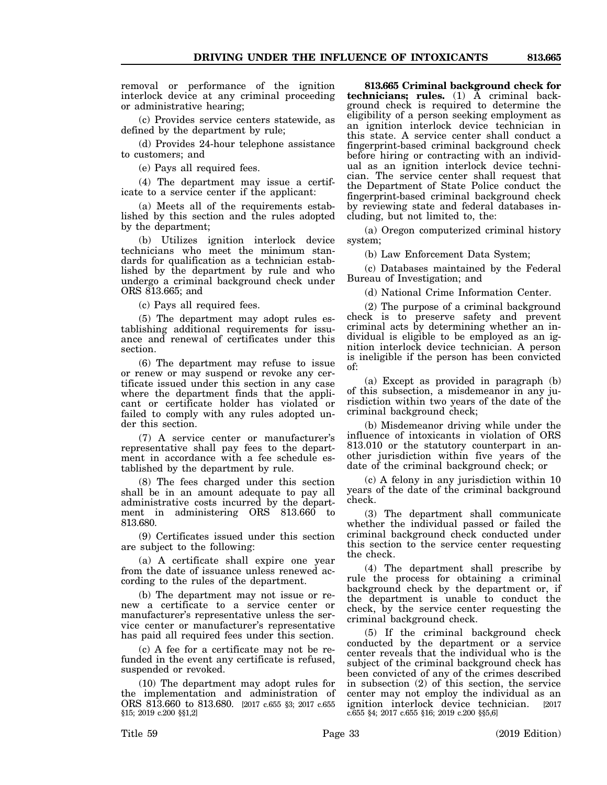removal or performance of the ignition interlock device at any criminal proceeding or administrative hearing;

(c) Provides service centers statewide, as defined by the department by rule;

(d) Provides 24-hour telephone assistance to customers; and

(e) Pays all required fees.

(4) The department may issue a certificate to a service center if the applicant:

(a) Meets all of the requirements established by this section and the rules adopted by the department;

(b) Utilizes ignition interlock device technicians who meet the minimum standards for qualification as a technician established by the department by rule and who undergo a criminal background check under ORS 813.665; and

(c) Pays all required fees.

(5) The department may adopt rules establishing additional requirements for issuance and renewal of certificates under this section.

(6) The department may refuse to issue or renew or may suspend or revoke any certificate issued under this section in any case where the department finds that the applicant or certificate holder has violated or failed to comply with any rules adopted under this section.

(7) A service center or manufacturer's representative shall pay fees to the department in accordance with a fee schedule established by the department by rule.

(8) The fees charged under this section shall be in an amount adequate to pay all administrative costs incurred by the department in administering ORS 813.660 to 813.680.

(9) Certificates issued under this section are subject to the following:

(a) A certificate shall expire one year from the date of issuance unless renewed according to the rules of the department.

(b) The department may not issue or renew a certificate to a service center or manufacturer's representative unless the service center or manufacturer's representative has paid all required fees under this section.

(c) A fee for a certificate may not be refunded in the event any certificate is refused, suspended or revoked.

(10) The department may adopt rules for the implementation and administration of ORS 813.660 to 813.680. [2017 c.655 §3; 2017 c.655 §15; 2019 c.200 §§1,2]

**813.665 Criminal background check for technicians; rules.** (1) A criminal background check is required to determine the eligibility of a person seeking employment as an ignition interlock device technician in this state. A service center shall conduct a fingerprint-based criminal background check before hiring or contracting with an individual as an ignition interlock device technician. The service center shall request that the Department of State Police conduct the fingerprint-based criminal background check by reviewing state and federal databases including, but not limited to, the:

(a) Oregon computerized criminal history system;

(b) Law Enforcement Data System;

(c) Databases maintained by the Federal Bureau of Investigation; and

(d) National Crime Information Center.

(2) The purpose of a criminal background check is to preserve safety and prevent criminal acts by determining whether an individual is eligible to be employed as an ignition interlock device technician. A person is ineligible if the person has been convicted of:

(a) Except as provided in paragraph (b) of this subsection, a misdemeanor in any jurisdiction within two years of the date of the criminal background check;

(b) Misdemeanor driving while under the influence of intoxicants in violation of ORS 813.010 or the statutory counterpart in another jurisdiction within five years of the date of the criminal background check; or

(c) A felony in any jurisdiction within 10 years of the date of the criminal background check.

(3) The department shall communicate whether the individual passed or failed the criminal background check conducted under this section to the service center requesting the check.

(4) The department shall prescribe by rule the process for obtaining a criminal background check by the department or, if the department is unable to conduct the check, by the service center requesting the criminal background check.

(5) If the criminal background check conducted by the department or a service center reveals that the individual who is the subject of the criminal background check has been convicted of any of the crimes described in subsection (2) of this section, the service center may not employ the individual as an ignition interlock device technician. [2017 c.655 §4; 2017 c.655 §16; 2019 c.200 §§5,6]